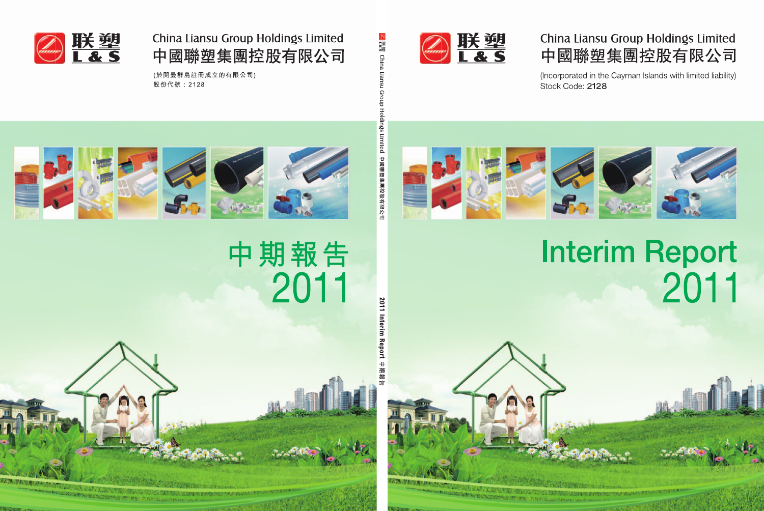

## China Liansu Group Holdings Limited 中國聯塑集團控股有限公司

(Incorporated in the Cayman Islands with limited liability) Stock Code: 2128



# **Interim Report** 2011

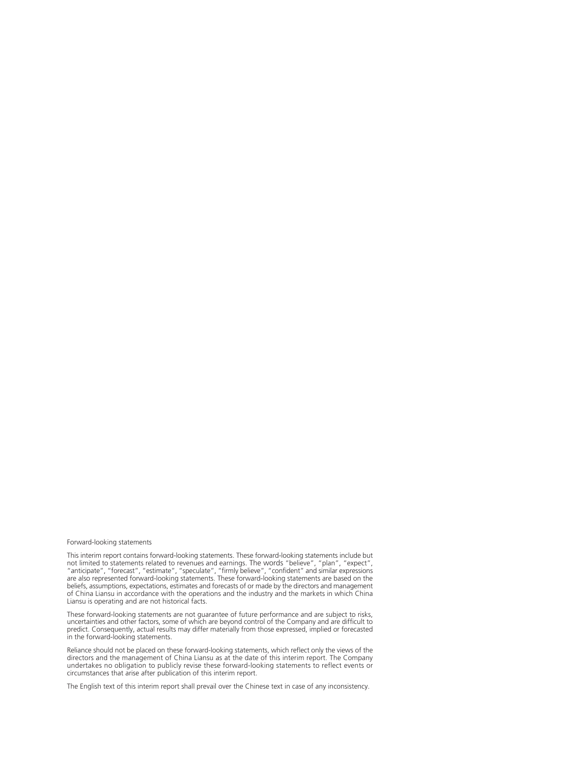#### Forward-looking statements

This interim report contains forward-looking statements. These forward-looking statements include but not limited to statements related to revenues and earnings. The words "believe", "plan", "expect", "anticipate", "forecast", "estimate", "speculate", "firmly believe", "confident" and similar expressions are also represented forward-looking statements. These forward-looking statements are based on the beliefs, assumptions, expectations, estimates and forecasts of or made by the directors and management of China Liansu in accordance with the operations and the industry and the markets in which China Liansu is operating and are not historical facts.

These forward-looking statements are not guarantee of future performance and are subject to risks, uncertainties and other factors, some of which are beyond control of the Company and are difficult to predict. Consequently, actual results may differ materially from those expressed, implied or forecasted in the forward-looking statements.

Reliance should not be placed on these forward-looking statements, which reflect only the views of the directors and the management of China Liansu as at the date of this interim report. The Company undertakes no obligation to publicly revise these forward-looking statements to reflect events or circumstances that arise after publication of this interim report.

The English text of this interim report shall prevail over the Chinese text in case of any inconsistency.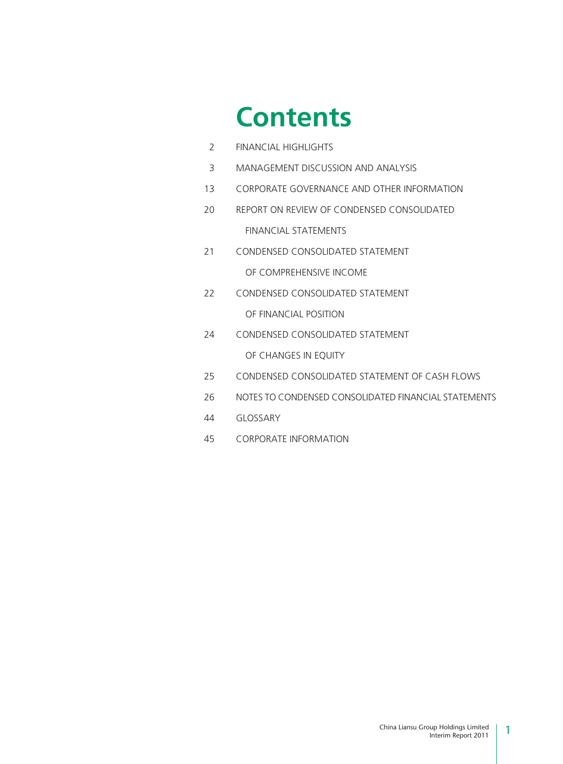# **Contents**

| 2  | <b>FINANCIAL HIGHLIGHTS</b>                          |
|----|------------------------------------------------------|
| 3  | MANAGEMENT DISCUSSION AND ANALYSIS                   |
| 13 | CORPORATE GOVERNANCE AND OTHER INFORMATION           |
| 20 | REPORT ON REVIEW OF CONDENSED CONSOLIDATED           |
|    | FINANCIAL STATEMENTS                                 |
| 21 | CONDENSED CONSOLIDATED STATEMENT                     |
|    | OF COMPREHENSIVE INCOME                              |
| 22 | CONDENSED CONSOLIDATED STATEMENT                     |
|    | OF FINANCIAL POSITION                                |
| 24 | CONDENSED CONSOLIDATED STATEMENT                     |
|    | OF CHANGES IN EQUITY                                 |
| 25 | CONDENSED CONSOLIDATED STATEMENT OF CASH FLOWS       |
| 26 | NOTES TO CONDENSED CONSOLIDATED FINANCIAL STATEMENTS |
| 44 | <b>GLOSSARY</b>                                      |
| 45 | <b>CORPORATE INFORMATION</b>                         |
|    |                                                      |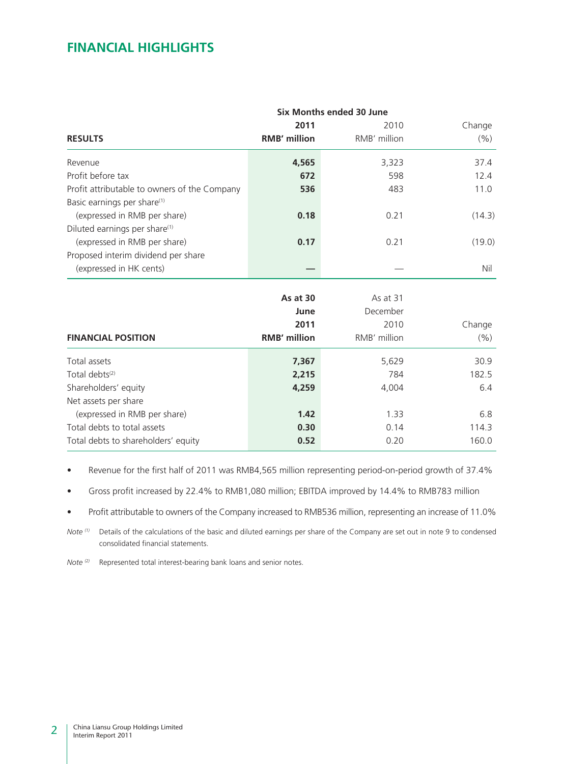### **FINANCIAL HIGHLIGHTS**

|                                              | Six Months ended 30 June |              |        |  |  |  |
|----------------------------------------------|--------------------------|--------------|--------|--|--|--|
|                                              | 2011                     | 2010         | Change |  |  |  |
| <b>RESULTS</b>                               | <b>RMB' million</b>      | RMB' million | (% )   |  |  |  |
| Revenue                                      | 4,565                    | 3,323        | 37.4   |  |  |  |
| Profit before tax                            | 672                      | 598          | 12.4   |  |  |  |
| Profit attributable to owners of the Company | 536                      | 483          | 11.0   |  |  |  |
| Basic earnings per share <sup>(1)</sup>      |                          |              |        |  |  |  |
| (expressed in RMB per share)                 | 0.18                     | 0.21         | (14.3) |  |  |  |
| Diluted earnings per share <sup>(1)</sup>    |                          |              |        |  |  |  |
| (expressed in RMB per share)                 | 0.17                     | 0.21         | (19.0) |  |  |  |
| Proposed interim dividend per share          |                          |              |        |  |  |  |
| (expressed in HK cents)                      |                          |              | Nil    |  |  |  |
|                                              | As at 30                 | As at 31     |        |  |  |  |
|                                              | June                     | December     |        |  |  |  |
|                                              | 2011                     | 2010         |        |  |  |  |
|                                              |                          |              | Change |  |  |  |
| <b>FINANCIAL POSITION</b>                    | <b>RMB' million</b>      | RMB' million | (% )   |  |  |  |
| Total assets                                 | 7,367                    | 5,629        | 30.9   |  |  |  |
| Total debts <sup>(2)</sup>                   | 2,215                    | 784          | 182.5  |  |  |  |
| Shareholders' equity                         | 4,259                    | 4,004        | 6.4    |  |  |  |
| Net assets per share                         |                          |              |        |  |  |  |
| (expressed in RMB per share)                 | 1.42                     | 1.33         | 6.8    |  |  |  |
| Total debts to total assets                  | 0.30                     | 0.14         | 114.3  |  |  |  |
| Total debts to shareholders' equity          | 0.52                     | 0.20         | 160.0  |  |  |  |

• Revenue for the first half of 2011 was RMB4,565 million representing period-on-period growth of 37.4%

• Gross profit increased by 22.4% to RMB1,080 million; EBITDA improved by 14.4% to RMB783 million

• Profit attributable to owners of the Company increased to RMB536 million, representing an increase of 11.0%

*Note* (1) Details of the calculations of the basic and diluted earnings per share of the Company are set out in note 9 to condensed consolidated financial statements.

*Note (2)* Represented total interest-bearing bank loans and senior notes.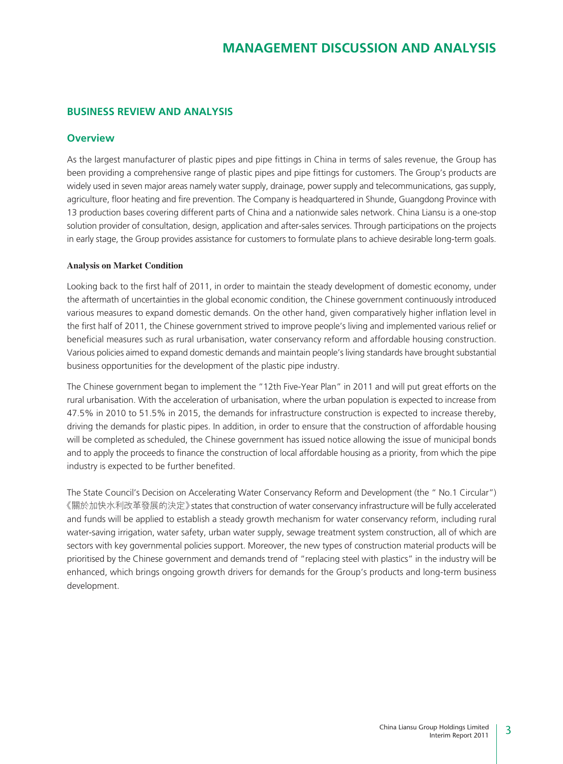### **BUSINESS REVIEW AND ANALYSIS**

### **Overview**

As the largest manufacturer of plastic pipes and pipe fittings in China in terms of sales revenue, the Group has been providing a comprehensive range of plastic pipes and pipe fittings for customers. The Group's products are widely used in seven major areas namely water supply, drainage, power supply and telecommunications, gas supply, agriculture, floor heating and fire prevention. The Company is headquartered in Shunde, Guangdong Province with 13 production bases covering different parts of China and a nationwide sales network. China Liansu is a one-stop solution provider of consultation, design, application and after-sales services. Through participations on the projects in early stage, the Group provides assistance for customers to formulate plans to achieve desirable long-term goals.

#### **Analysis on Market Condition**

Looking back to the first half of 2011, in order to maintain the steady development of domestic economy, under the aftermath of uncertainties in the global economic condition, the Chinese government continuously introduced various measures to expand domestic demands. On the other hand, given comparatively higher inflation level in the first half of 2011, the Chinese government strived to improve people's living and implemented various relief or beneficial measures such as rural urbanisation, water conservancy reform and affordable housing construction. Various policies aimed to expand domestic demands and maintain people's living standards have brought substantial business opportunities for the development of the plastic pipe industry.

The Chinese government began to implement the "12th Five-Year Plan" in 2011 and will put great efforts on the rural urbanisation. With the acceleration of urbanisation, where the urban population is expected to increase from 47.5% in 2010 to 51.5% in 2015, the demands for infrastructure construction is expected to increase thereby, driving the demands for plastic pipes. In addition, in order to ensure that the construction of affordable housing will be completed as scheduled, the Chinese government has issued notice allowing the issue of municipal bonds and to apply the proceeds to finance the construction of local affordable housing as a priority, from which the pipe industry is expected to be further benefited.

The State Council's Decision on Accelerating Water Conservancy Reform and Development (the " No.1 Circular") 《關於加快水利改革發展的決定》states that construction of water conservancy infrastructure will be fully accelerated and funds will be applied to establish a steady growth mechanism for water conservancy reform, including rural water-saving irrigation, water safety, urban water supply, sewage treatment system construction, all of which are sectors with key governmental policies support. Moreover, the new types of construction material products will be prioritised by the Chinese government and demands trend of "replacing steel with plastics" in the industry will be enhanced, which brings ongoing growth drivers for demands for the Group's products and long-term business development.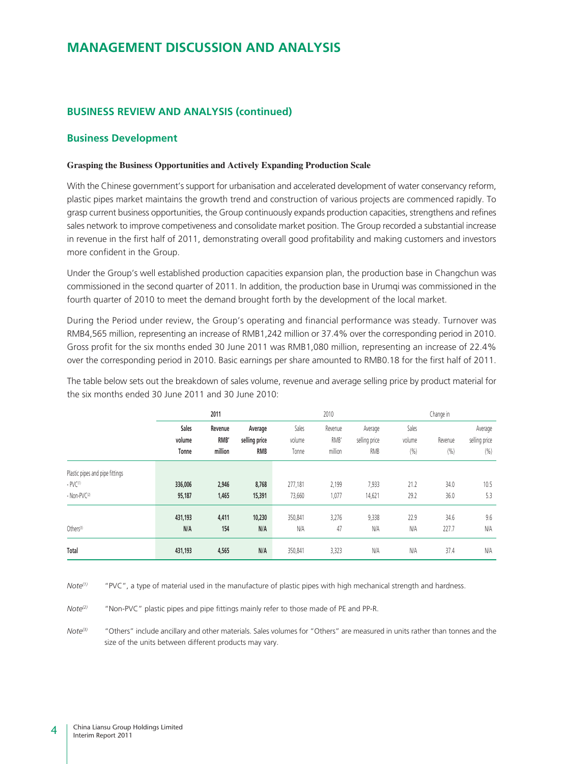### **BUSINESS REVIEW AND ANALYSIS (continued)**

#### **Business Development**

#### **Grasping the Business Opportunities and Actively Expanding Production Scale**

With the Chinese government's support for urbanisation and accelerated development of water conservancy reform, plastic pipes market maintains the growth trend and construction of various projects are commenced rapidly. To grasp current business opportunities, the Group continuously expands production capacities, strengthens and refines sales network to improve competiveness and consolidate market position. The Group recorded a substantial increase in revenue in the first half of 2011, demonstrating overall good profitability and making customers and investors more confident in the Group.

Under the Group's well established production capacities expansion plan, the production base in Changchun was commissioned in the second quarter of 2011. In addition, the production base in Urumqi was commissioned in the fourth quarter of 2010 to meet the demand brought forth by the development of the local market.

During the Period under review, the Group's operating and financial performance was steady. Turnover was RMB4,565 million, representing an increase of RMB1,242 million or 37.4% over the corresponding period in 2010. Gross profit for the six months ended 30 June 2011 was RMB1,080 million, representing an increase of 22.4% over the corresponding period in 2010. Basic earnings per share amounted to RMB0.18 for the first half of 2011.

The table below sets out the breakdown of sales volume, revenue and average selling price by product material for the six months ended 30 June 2011 and 30 June 2010:

|                                                                          | 2011                     |                            |                                        | 2010                     |                            |                                        | Change in               |                 |                                  |
|--------------------------------------------------------------------------|--------------------------|----------------------------|----------------------------------------|--------------------------|----------------------------|----------------------------------------|-------------------------|-----------------|----------------------------------|
|                                                                          | Sales<br>volume<br>Tonne | Revenue<br>RMB'<br>million | Average<br>selling price<br><b>RMB</b> | Sales<br>volume<br>Tonne | Revenue<br>RMB'<br>million | Average<br>selling price<br><b>RMB</b> | Sales<br>volume<br>(% ) | Revenue<br>(% ) | Average<br>selling price<br>(% ) |
| Plastic pipes and pipe fittings<br>$- PV(1)$<br>- Non-PVC <sup>(2)</sup> | 336,006<br>95,187        | 2,946<br>1,465             | 8,768<br>15,391                        | 277,181<br>73,660        | 2,199<br>1,077             | 7,933<br>14,621                        | 21.2<br>29.2            | 34.0<br>36.0    | 10.5<br>5.3                      |
| Others <sup>(3)</sup>                                                    | 431,193<br>N/A           | 4,411<br>154               | 10,230<br>N/A                          | 350,841<br><b>N/A</b>    | 3,276<br>47                | 9,338<br><b>N/A</b>                    | 22.9<br>N/A             | 34.6<br>227.7   | 9.6<br>N/A                       |
| Total                                                                    | 431,193                  | 4,565                      | N/A                                    | 350,841                  | 3,323                      | N/A                                    | N/A                     | 37.4            | N/A                              |

*Note(1)* "PVC", a type of material used in the manufacture of plastic pipes with high mechanical strength and hardness.

*Note*<sup>(2)</sup> "Non-PVC" plastic pipes and pipe fittings mainly refer to those made of PE and PP-R.

*Note(3)* "Others" include ancillary and other materials. Sales volumes for "Others" are measured in units rather than tonnes and the size of the units between different products may vary.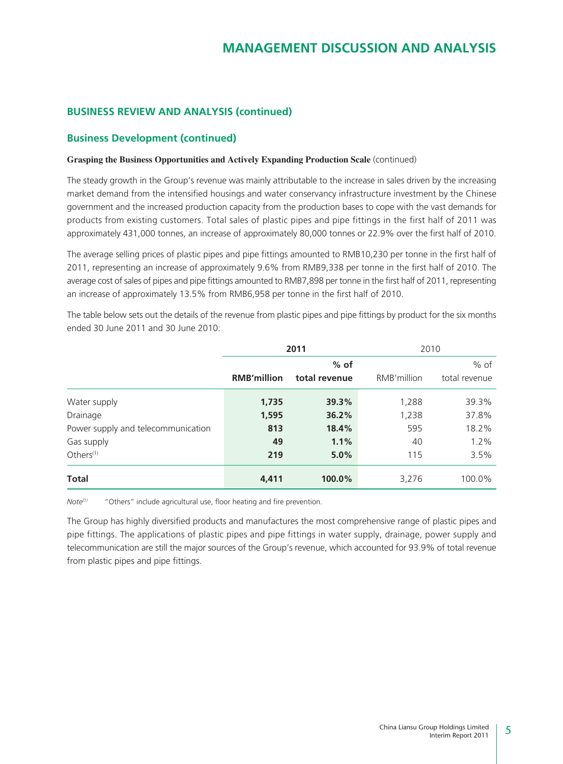### **BUSINESS REVIEW AND ANALYSIS (continued)**

### **Business Development (continued)**

#### **Grasping the Business Opportunities and Actively Expanding Production Scale** (continued)

The steady growth in the Group's revenue was mainly attributable to the increase in sales driven by the increasing market demand from the intensified housings and water conservancy infrastructure investment by the Chinese government and the increased production capacity from the production bases to cope with the vast demands for products from existing customers. Total sales of plastic pipes and pipe fittings in the first half of 2011 was approximately 431,000 tonnes, an increase of approximately 80,000 tonnes or 22.9% over the first half of 2010.

The average selling prices of plastic pipes and pipe fittings amounted to RMB10,230 per tonne in the first half of 2011, representing an increase of approximately 9.6% from RMB9,338 per tonne in the first half of 2010. The average cost of sales of pipes and pipe fittings amounted to RMB7,898 per tonne in the first half of 2011, representing an increase of approximately 13.5% from RMB6,958 per tonne in the first half of 2010.

|                                    | 2011               |               | 2010        |               |
|------------------------------------|--------------------|---------------|-------------|---------------|
|                                    |                    | $%$ of        |             | $%$ of        |
|                                    | <b>RMB'million</b> | total revenue | RMB'million | total revenue |
| Water supply                       | 1,735              | 39.3%         | 1,288       | 39.3%         |
| Drainage                           | 1,595              | 36.2%         | 1,238       | 37.8%         |
| Power supply and telecommunication | 813                | 18.4%         | 595         | 18.2%         |
| Gas supply                         | 49                 | 1.1%          | 40          | 1.2%          |
| Others $(1)$                       | 219                | 5.0%          | 115         | 3.5%          |
| <b>Total</b>                       | 4,411              | 100.0%        | 3,276       | 100.0%        |

The table below sets out the details of the revenue from plastic pipes and pipe fittings by product for the six months ended 30 June 2011 and 30 June 2010:

*Note<sup>(1)</sup>* "Others" include agricultural use, floor heating and fire prevention.

The Group has highly diversified products and manufactures the most comprehensive range of plastic pipes and pipe fittings. The applications of plastic pipes and pipe fittings in water supply, drainage, power supply and telecommunication are still the major sources of the Group's revenue, which accounted for 93.9% of total revenue from plastic pipes and pipe fittings.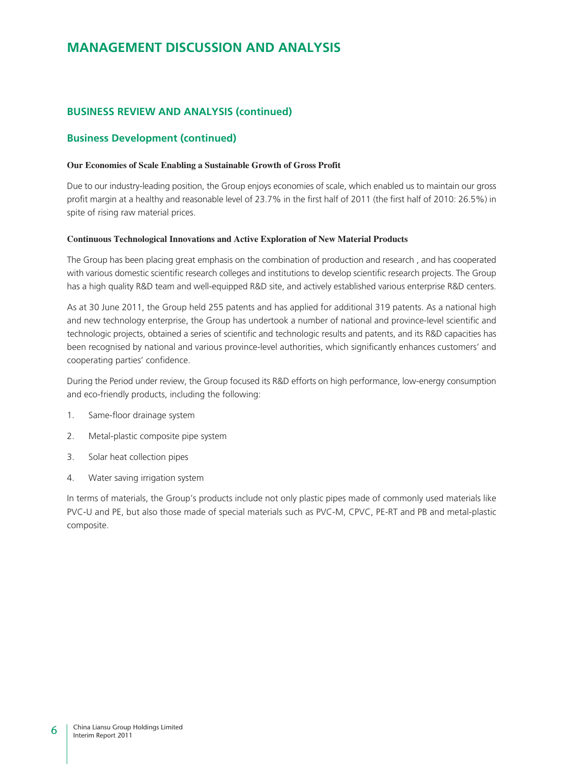### **BUSINESS REVIEW AND ANALYSIS (continued)**

### **Business Development (continued)**

#### **Our Economies of Scale Enabling a Sustainable Growth of Gross Profit**

Due to our industry-leading position, the Group enjoys economies of scale, which enabled us to maintain our gross profit margin at a healthy and reasonable level of 23.7% in the first half of 2011 (the first half of 2010: 26.5%) in spite of rising raw material prices.

#### **Continuous Technological Innovations and Active Exploration of New Material Products**

The Group has been placing great emphasis on the combination of production and research , and has cooperated with various domestic scientific research colleges and institutions to develop scientific research projects. The Group has a high quality R&D team and well-equipped R&D site, and actively established various enterprise R&D centers.

As at 30 June 2011, the Group held 255 patents and has applied for additional 319 patents. As a national high and new technology enterprise, the Group has undertook a number of national and province-level scientific and technologic projects, obtained a series of scientific and technologic results and patents, and its R&D capacities has been recognised by national and various province-level authorities, which significantly enhances customers' and cooperating parties' confidence.

During the Period under review, the Group focused its R&D efforts on high performance, low-energy consumption and eco-friendly products, including the following:

- 1. Same-floor drainage system
- 2. Metal-plastic composite pipe system
- 3. Solar heat collection pipes
- 4. Water saving irrigation system

In terms of materials, the Group's products include not only plastic pipes made of commonly used materials like PVC-U and PE, but also those made of special materials such as PVC-M, CPVC, PE-RT and PB and metal-plastic composite.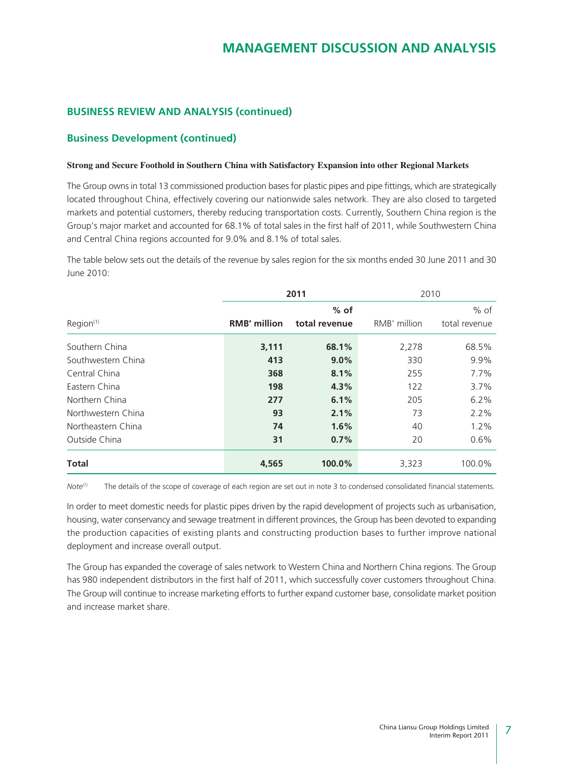### **BUSINESS REVIEW AND ANALYSIS (continued)**

### **Business Development (continued)**

#### **Strong and Secure Foothold in Southern China with Satisfactory Expansion into other Regional Markets**

The Group owns in total 13 commissioned production bases for plastic pipes and pipe fittings, which are strategically located throughout China, effectively covering our nationwide sales network. They are also closed to targeted markets and potential customers, thereby reducing transportation costs. Currently, Southern China region is the Group's major market and accounted for 68.1% of total sales in the first half of 2011, while Southwestern China and Central China regions accounted for 9.0% and 8.1% of total sales.

The table below sets out the details of the revenue by sales region for the six months ended 30 June 2011 and 30 June 2010:

|                    | 2011                |               | 2010         |               |
|--------------------|---------------------|---------------|--------------|---------------|
|                    |                     | $%$ of        |              | $%$ of        |
| Region(1)          | <b>RMB' million</b> | total revenue | RMB' million | total revenue |
| Southern China     | 3,111               | 68.1%         | 2,278        | 68.5%         |
| Southwestern China | 413                 | 9.0%          | 330          | 9.9%          |
| Central China      | 368                 | 8.1%          | 255          | 7.7%          |
| Eastern China      | 198                 | 4.3%          | 122          | 3.7%          |
| Northern China     | 277                 | 6.1%          | 205          | 6.2%          |
| Northwestern China | 93                  | 2.1%          | 73           | 2.2%          |
| Northeastern China | 74                  | 1.6%          | 40           | 1.2%          |
| Outside China      | 31                  | 0.7%          | 20           | 0.6%          |
| <b>Total</b>       | 4,565               | 100.0%        | 3,323        | 100.0%        |

*Note(1)* The details of the scope of coverage of each region are set out in note 3 to condensed consolidated financial statements.

In order to meet domestic needs for plastic pipes driven by the rapid development of projects such as urbanisation, housing, water conservancy and sewage treatment in different provinces, the Group has been devoted to expanding the production capacities of existing plants and constructing production bases to further improve national deployment and increase overall output.

The Group has expanded the coverage of sales network to Western China and Northern China regions. The Group has 980 independent distributors in the first half of 2011, which successfully cover customers throughout China. The Group will continue to increase marketing efforts to further expand customer base, consolidate market position and increase market share.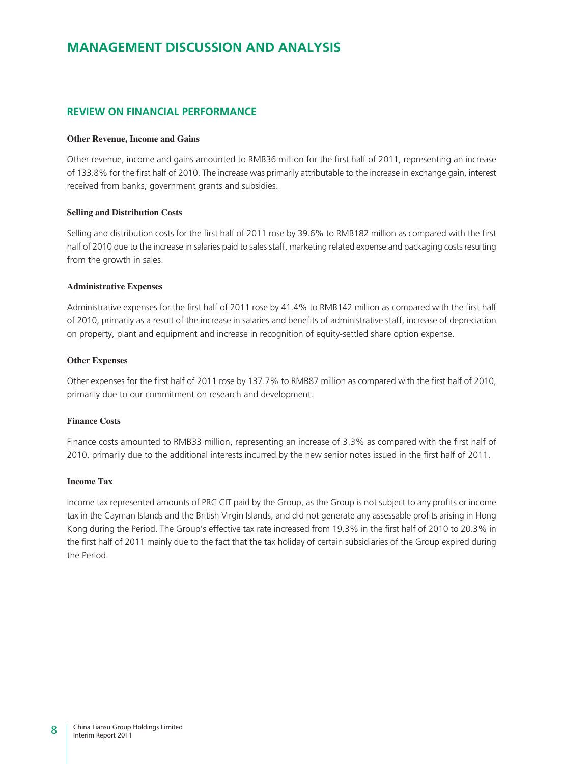### **REVIEW ON FINANCIAL PERFORMANCE**

#### **Other Revenue, Income and Gains**

Other revenue, income and gains amounted to RMB36 million for the first half of 2011, representing an increase of 133.8% for the first half of 2010. The increase was primarily attributable to the increase in exchange gain, interest received from banks, government grants and subsidies.

#### **Selling and Distribution Costs**

Selling and distribution costs for the first half of 2011 rose by 39.6% to RMB182 million as compared with the first half of 2010 due to the increase in salaries paid to sales staff, marketing related expense and packaging costs resulting from the growth in sales.

#### **Administrative Expenses**

Administrative expenses for the first half of 2011 rose by 41.4% to RMB142 million as compared with the first half of 2010, primarily as a result of the increase in salaries and benefits of administrative staff, increase of depreciation on property, plant and equipment and increase in recognition of equity-settled share option expense.

#### **Other Expenses**

Other expenses for the first half of 2011 rose by 137.7% to RMB87 million as compared with the first half of 2010, primarily due to our commitment on research and development.

#### **Finance Costs**

Finance costs amounted to RMB33 million, representing an increase of 3.3% as compared with the first half of 2010, primarily due to the additional interests incurred by the new senior notes issued in the first half of 2011.

#### **Income Tax**

Income tax represented amounts of PRC CIT paid by the Group, as the Group is not subject to any profits or income tax in the Cayman Islands and the British Virgin Islands, and did not generate any assessable profits arising in Hong Kong during the Period. The Group's effective tax rate increased from 19.3% in the first half of 2010 to 20.3% in the first half of 2011 mainly due to the fact that the tax holiday of certain subsidiaries of the Group expired during the Period.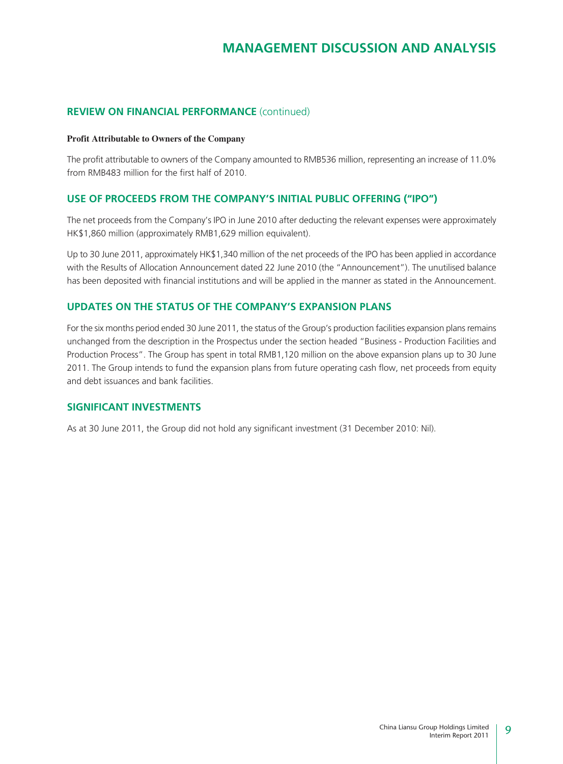### **REVIEW ON FINANCIAL PERFORMANCE** (continued)

#### **Profit Attributable to Owners of the Company**

The profit attributable to owners of the Company amounted to RMB536 million, representing an increase of 11.0% from RMB483 million for the first half of 2010.

### **USE OF PROCEEDS FROM THE COMPANY'S INITIAL PUBLIC OFFERING ("IPO")**

The net proceeds from the Company's IPO in June 2010 after deducting the relevant expenses were approximately HK\$1,860 million (approximately RMB1,629 million equivalent).

Up to 30 June 2011, approximately HK\$1,340 million of the net proceeds of the IPO has been applied in accordance with the Results of Allocation Announcement dated 22 June 2010 (the "Announcement"). The unutilised balance has been deposited with financial institutions and will be applied in the manner as stated in the Announcement.

### **UPDATES ON THE STATUS OF THE COMPANY'S EXPANSION PLANS**

For the six months period ended 30 June 2011, the status of the Group's production facilities expansion plans remains unchanged from the description in the Prospectus under the section headed "Business - Production Facilities and Production Process". The Group has spent in total RMB1,120 million on the above expansion plans up to 30 June 2011. The Group intends to fund the expansion plans from future operating cash flow, net proceeds from equity and debt issuances and bank facilities.

### **SIGNIFICANT INVESTMENTS**

As at 30 June 2011, the Group did not hold any significant investment (31 December 2010: Nil).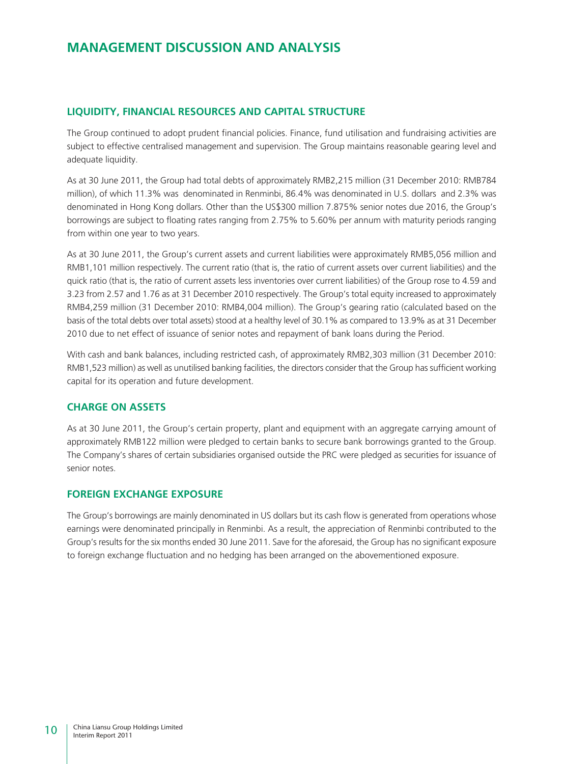### **LIQUIDITY, FINANCIAL RESOURCES AND CAPITAL STRUCTURE**

The Group continued to adopt prudent financial policies. Finance, fund utilisation and fundraising activities are subject to effective centralised management and supervision. The Group maintains reasonable gearing level and adequate liquidity.

As at 30 June 2011, the Group had total debts of approximately RMB2,215 million (31 December 2010: RMB784 million), of which 11.3% was denominated in Renminbi, 86.4% was denominated in U.S. dollars and 2.3% was denominated in Hong Kong dollars. Other than the US\$300 million 7.875% senior notes due 2016, the Group's borrowings are subject to floating rates ranging from 2.75% to 5.60% per annum with maturity periods ranging from within one year to two years.

As at 30 June 2011, the Group's current assets and current liabilities were approximately RMB5,056 million and RMB1,101 million respectively. The current ratio (that is, the ratio of current assets over current liabilities) and the quick ratio (that is, the ratio of current assets less inventories over current liabilities) of the Group rose to 4.59 and 3.23 from 2.57 and 1.76 as at 31 December 2010 respectively. The Group's total equity increased to approximately RMB4,259 million (31 December 2010: RMB4,004 million). The Group's gearing ratio (calculated based on the basis of the total debts over total assets) stood at a healthy level of 30.1% as compared to 13.9% as at 31 December 2010 due to net effect of issuance of senior notes and repayment of bank loans during the Period.

With cash and bank balances, including restricted cash, of approximately RMB2,303 million (31 December 2010: RMB1,523 million) as well as unutilised banking facilities, the directors consider that the Group has sufficient working capital for its operation and future development.

### **CHARGE ON ASSETS**

As at 30 June 2011, the Group's certain property, plant and equipment with an aggregate carrying amount of approximately RMB122 million were pledged to certain banks to secure bank borrowings granted to the Group. The Company's shares of certain subsidiaries organised outside the PRC were pledged as securities for issuance of senior notes.

### **FOREIGN EXCHANGE EXPOSURE**

The Group's borrowings are mainly denominated in US dollars but its cash flow is generated from operations whose earnings were denominated principally in Renminbi. As a result, the appreciation of Renminbi contributed to the Group's results for the six months ended 30 June 2011. Save for the aforesaid, the Group has no significant exposure to foreign exchange fluctuation and no hedging has been arranged on the abovementioned exposure.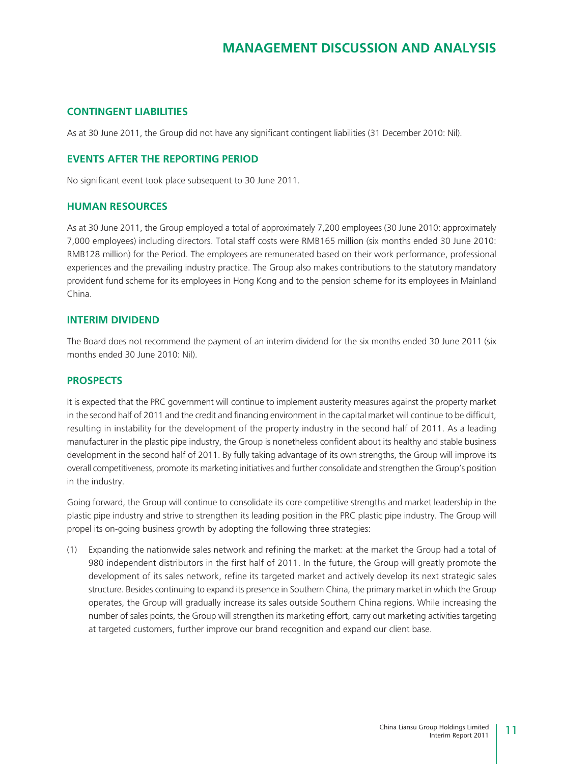### **CONTINGENT LIABILITIES**

As at 30 June 2011, the Group did not have any significant contingent liabilities (31 December 2010: Nil).

### **EVENTS AFTER THE REPORTING PERIOD**

No significant event took place subsequent to 30 June 2011.

#### **HUMAN RESOURCES**

As at 30 June 2011, the Group employed a total of approximately 7,200 employees (30 June 2010: approximately 7,000 employees) including directors. Total staff costs were RMB165 million (six months ended 30 June 2010: RMB128 million) for the Period. The employees are remunerated based on their work performance, professional experiences and the prevailing industry practice. The Group also makes contributions to the statutory mandatory provident fund scheme for its employees in Hong Kong and to the pension scheme for its employees in Mainland China.

### **INTERIM DIVIDEND**

The Board does not recommend the payment of an interim dividend for the six months ended 30 June 2011 (six months ended 30 June 2010: Nil).

#### **PROSPECTS**

It is expected that the PRC government will continue to implement austerity measures against the property market in the second half of 2011 and the credit and financing environment in the capital market will continue to be difficult, resulting in instability for the development of the property industry in the second half of 2011. As a leading manufacturer in the plastic pipe industry, the Group is nonetheless confident about its healthy and stable business development in the second half of 2011. By fully taking advantage of its own strengths, the Group will improve its overall competitiveness, promote its marketing initiatives and further consolidate and strengthen the Group's position in the industry.

Going forward, the Group will continue to consolidate its core competitive strengths and market leadership in the plastic pipe industry and strive to strengthen its leading position in the PRC plastic pipe industry. The Group will propel its on-going business growth by adopting the following three strategies:

(1) Expanding the nationwide sales network and refining the market: at the market the Group had a total of 980 independent distributors in the first half of 2011. In the future, the Group will greatly promote the development of its sales network, refine its targeted market and actively develop its next strategic sales structure. Besides continuing to expand its presence in Southern China, the primary market in which the Group operates, the Group will gradually increase its sales outside Southern China regions. While increasing the number of sales points, the Group will strengthen its marketing effort, carry out marketing activities targeting at targeted customers, further improve our brand recognition and expand our client base.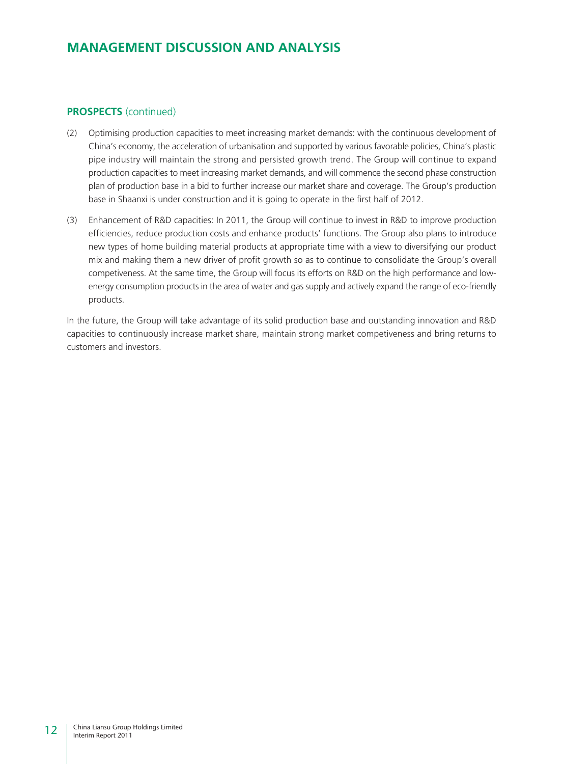### **PROSPECTS** (continued)

- (2) Optimising production capacities to meet increasing market demands: with the continuous development of China's economy, the acceleration of urbanisation and supported by various favorable policies, China's plastic pipe industry will maintain the strong and persisted growth trend. The Group will continue to expand production capacities to meet increasing market demands, and will commence the second phase construction plan of production base in a bid to further increase our market share and coverage. The Group's production base in Shaanxi is under construction and it is going to operate in the first half of 2012.
- (3) Enhancement of R&D capacities: In 2011, the Group will continue to invest in R&D to improve production efficiencies, reduce production costs and enhance products' functions. The Group also plans to introduce new types of home building material products at appropriate time with a view to diversifying our product mix and making them a new driver of profit growth so as to continue to consolidate the Group's overall competiveness. At the same time, the Group will focus its efforts on R&D on the high performance and lowenergy consumption products in the area of water and gas supply and actively expand the range of eco-friendly products.

In the future, the Group will take advantage of its solid production base and outstanding innovation and R&D capacities to continuously increase market share, maintain strong market competiveness and bring returns to customers and investors.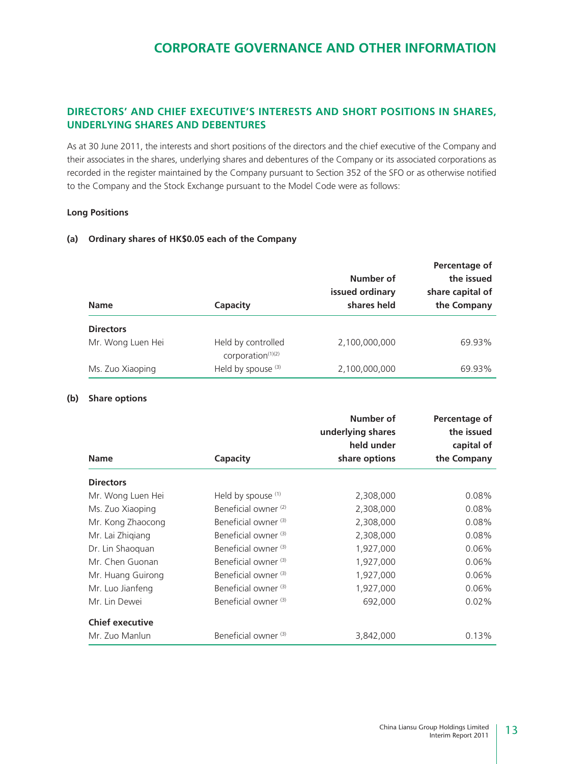### **DIRECTORS' AND CHIEF EXECUTIVE'S INTERESTS AND SHORT POSITIONS IN SHARES, UNDERLYING SHARES AND DEBENTURES**

As at 30 June 2011, the interests and short positions of the directors and the chief executive of the Company and their associates in the shares, underlying shares and debentures of the Company or its associated corporations as recorded in the register maintained by the Company pursuant to Section 352 of the SFO or as otherwise notified to the Company and the Stock Exchange pursuant to the Model Code were as follows:

#### **Long Positions**

#### **(a) Ordinary shares of HK\$0.05 each of the Company**

| <b>Name</b>       | Capacity                                            | Number of<br>issued ordinary<br>shares held | Percentage of<br>the issued<br>share capital of<br>the Company |
|-------------------|-----------------------------------------------------|---------------------------------------------|----------------------------------------------------------------|
| <b>Directors</b>  |                                                     |                                             |                                                                |
| Mr. Wong Luen Hei | Held by controlled<br>corporation <sup>(1)(2)</sup> | 2,100,000,000                               | 69.93%                                                         |
| Ms. Zuo Xiaoping  | Held by spouse (3)                                  | 2,100,000,000                               | 69.93%                                                         |

#### **(b) Share options**

|                        |                                 | Number of<br>underlying shares | Percentage of<br>the issued |
|------------------------|---------------------------------|--------------------------------|-----------------------------|
|                        |                                 | held under                     | capital of                  |
| <b>Name</b>            | <b>Capacity</b>                 | share options                  | the Company                 |
| <b>Directors</b>       |                                 |                                |                             |
| Mr. Wong Luen Hei      | Held by spouse $(1)$            | 2,308,000                      | 0.08%                       |
| Ms. Zuo Xiaoping       | Beneficial owner <sup>(2)</sup> | 2,308,000                      | 0.08%                       |
| Mr. Kong Zhaocong      | Beneficial owner (3)            | 2,308,000                      | 0.08%                       |
| Mr. Lai Zhigiang       | Beneficial owner (3)            | 2,308,000                      | 0.08%                       |
| Dr. Lin Shaoquan       | Beneficial owner <sup>(3)</sup> | 1,927,000                      | 0.06%                       |
| Mr. Chen Guonan        | Beneficial owner (3)            | 1,927,000                      | 0.06%                       |
| Mr. Huang Guirong      | Beneficial owner (3)            | 1,927,000                      | 0.06%                       |
| Mr. Luo Jianfeng       | Beneficial owner (3)            | 1,927,000                      | $0.06\%$                    |
| Mr. Lin Dewei          | Beneficial owner (3)            | 692,000                        | 0.02%                       |
| <b>Chief executive</b> |                                 |                                |                             |
| Mr. Zuo Manlun         | Beneficial owner <sup>(3)</sup> | 3,842,000                      | 0.13%                       |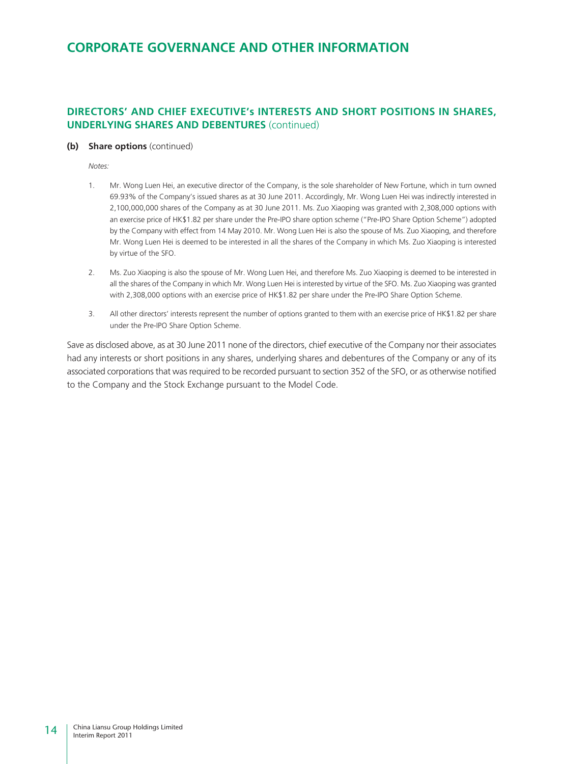### **DIRECTORS' AND CHIEF EXECUTIVE's INTERESTS AND SHORT POSITIONS IN SHARES, UNDERLYING SHARES AND DEBENTURES** (continued)

#### **(b) Share options** (continued)

*Notes:*

- 1. Mr. Wong Luen Hei, an executive director of the Company, is the sole shareholder of New Fortune, which in turn owned 69.93% of the Company's issued shares as at 30 June 2011. Accordingly, Mr. Wong Luen Hei was indirectly interested in 2,100,000,000 shares of the Company as at 30 June 2011. Ms. Zuo Xiaoping was granted with 2,308,000 options with an exercise price of HK\$1.82 per share under the Pre-IPO share option scheme ("Pre-IPO Share Option Scheme") adopted by the Company with effect from 14 May 2010. Mr. Wong Luen Hei is also the spouse of Ms. Zuo Xiaoping, and therefore Mr. Wong Luen Hei is deemed to be interested in all the shares of the Company in which Ms. Zuo Xiaoping is interested by virtue of the SFO.
- 2. Ms. Zuo Xiaoping is also the spouse of Mr. Wong Luen Hei, and therefore Ms. Zuo Xiaoping is deemed to be interested in all the shares of the Company in which Mr. Wong Luen Hei is interested by virtue of the SFO. Ms. Zuo Xiaoping was granted with 2,308,000 options with an exercise price of HK\$1.82 per share under the Pre-IPO Share Option Scheme.
- 3. All other directors' interests represent the number of options granted to them with an exercise price of HK\$1.82 per share under the Pre-IPO Share Option Scheme.

Save as disclosed above, as at 30 June 2011 none of the directors, chief executive of the Company nor their associates had any interests or short positions in any shares, underlying shares and debentures of the Company or any of its associated corporations that was required to be recorded pursuant to section 352 of the SFO, or as otherwise notified to the Company and the Stock Exchange pursuant to the Model Code.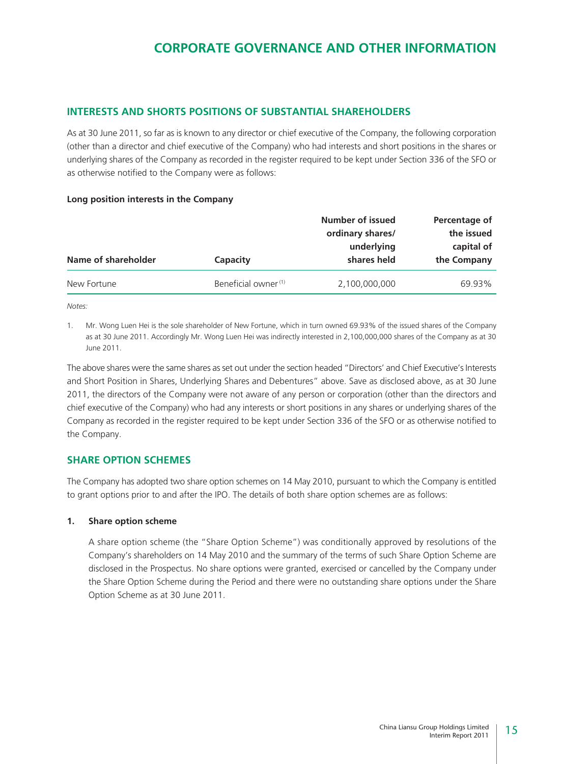### **INTERESTS AND SHORTS POSITIONS OF SUBSTANTIAL SHAREHOLDERS**

As at 30 June 2011, so far as is known to any director or chief executive of the Company, the following corporation (other than a director and chief executive of the Company) who had interests and short positions in the shares or underlying shares of the Company as recorded in the register required to be kept under Section 336 of the SFO or as otherwise notified to the Company were as follows:

#### **Long position interests in the Company**

|                     |                                 | Number of issued<br>ordinary shares/ | Percentage of<br>the issued |
|---------------------|---------------------------------|--------------------------------------|-----------------------------|
| Name of shareholder | Capacity                        | underlying<br>shares held            | capital of<br>the Company   |
| New Fortune         | Beneficial owner <sup>(1)</sup> | 2,100,000,000                        | 69.93%                      |

*Notes:*

1. Mr. Wong Luen Hei is the sole shareholder of New Fortune, which in turn owned 69.93% of the issued shares of the Company as at 30 June 2011. Accordingly Mr. Wong Luen Hei was indirectly interested in 2,100,000,000 shares of the Company as at 30 June 2011.

The above shares were the same shares as set out under the section headed "Directors' and Chief Executive's Interests and Short Position in Shares, Underlying Shares and Debentures" above. Save as disclosed above, as at 30 June 2011, the directors of the Company were not aware of any person or corporation (other than the directors and chief executive of the Company) who had any interests or short positions in any shares or underlying shares of the Company as recorded in the register required to be kept under Section 336 of the SFO or as otherwise notified to the Company.

### **SHARE OPTION SCHEMES**

The Company has adopted two share option schemes on 14 May 2010, pursuant to which the Company is entitled to grant options prior to and after the IPO. The details of both share option schemes are as follows:

#### **1. Share option scheme**

A share option scheme (the "Share Option Scheme") was conditionally approved by resolutions of the Company's shareholders on 14 May 2010 and the summary of the terms of such Share Option Scheme are disclosed in the Prospectus. No share options were granted, exercised or cancelled by the Company under the Share Option Scheme during the Period and there were no outstanding share options under the Share Option Scheme as at 30 June 2011.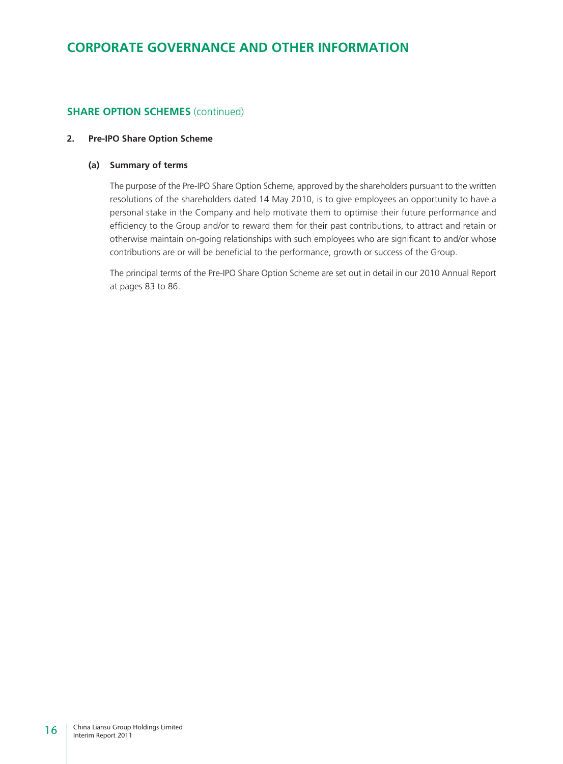### **SHARE OPTION SCHEMES** (continued)

#### **2. Pre-IPO Share Option Scheme**

#### **(a) Summary of terms**

The purpose of the Pre-IPO Share Option Scheme, approved by the shareholders pursuant to the written resolutions of the shareholders dated 14 May 2010, is to give employees an opportunity to have a personal stake in the Company and help motivate them to optimise their future performance and efficiency to the Group and/or to reward them for their past contributions, to attract and retain or otherwise maintain on-going relationships with such employees who are significant to and/or whose contributions are or will be beneficial to the performance, growth or success of the Group.

The principal terms of the Pre-IPO Share Option Scheme are set out in detail in our 2010 Annual Report at pages 83 to 86.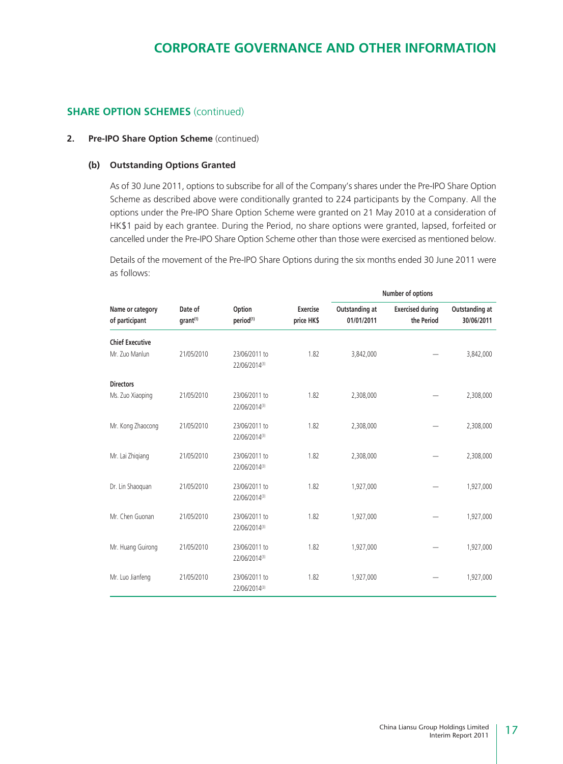### **SHARE OPTION SCHEMES** (continued)

#### **2. Pre-IPO Share Option Scheme** (continued)

#### **(b) Outstanding Options Granted**

As of 30 June 2011, options to subscribe for all of the Company's shares under the Pre-IPO Share Option Scheme as described above were conditionally granted to 224 participants by the Company. All the options under the Pre-IPO Share Option Scheme were granted on 21 May 2010 at a consideration of HK\$1 paid by each grantee. During the Period, no share options were granted, lapsed, forfeited or cancelled under the Pre-IPO Share Option Scheme other than those were exercised as mentioned below.

Details of the movement of the Pre-IPO Share Options during the six months ended 30 June 2011 were as follows:

|                                    |                                 |                                 |                               |                              | Number of options                     |                              |
|------------------------------------|---------------------------------|---------------------------------|-------------------------------|------------------------------|---------------------------------------|------------------------------|
| Name or category<br>of participant | Date of<br>grant <sup>(1)</sup> | Option<br>period <sup>(1)</sup> | <b>Exercise</b><br>price HK\$ | Outstanding at<br>01/01/2011 | <b>Exercised during</b><br>the Period | Outstanding at<br>30/06/2011 |
| <b>Chief Executive</b>             |                                 |                                 |                               |                              |                                       |                              |
| Mr. Zuo Manlun                     | 21/05/2010                      | 23/06/2011 to<br>22/06/2014(3)  | 1.82                          | 3,842,000                    |                                       | 3,842,000                    |
| <b>Directors</b>                   |                                 |                                 |                               |                              |                                       |                              |
| Ms. Zuo Xiaoping                   | 21/05/2010                      | 23/06/2011 to<br>22/06/2014(3)  | 1.82                          | 2,308,000                    |                                       | 2,308,000                    |
| Mr. Kong Zhaocong                  | 21/05/2010                      | 23/06/2011 to<br>22/06/2014(3)  | 1.82                          | 2,308,000                    |                                       | 2,308,000                    |
| Mr. Lai Zhigiang                   | 21/05/2010                      | 23/06/2011 to<br>22/06/2014(3)  | 1.82                          | 2,308,000                    |                                       | 2,308,000                    |
| Dr. Lin Shaoquan                   | 21/05/2010                      | 23/06/2011 to<br>22/06/2014(3)  | 1.82                          | 1,927,000                    |                                       | 1,927,000                    |
| Mr. Chen Guonan                    | 21/05/2010                      | 23/06/2011 to<br>22/06/2014(3)  | 1.82                          | 1,927,000                    |                                       | 1,927,000                    |
| Mr. Huang Guirong                  | 21/05/2010                      | 23/06/2011 to<br>22/06/2014(3)  | 1.82                          | 1,927,000                    |                                       | 1,927,000                    |
| Mr. Luo Jianfeng                   | 21/05/2010                      | 23/06/2011 to<br>22/06/2014(3)  | 1.82                          | 1,927,000                    |                                       | 1,927,000                    |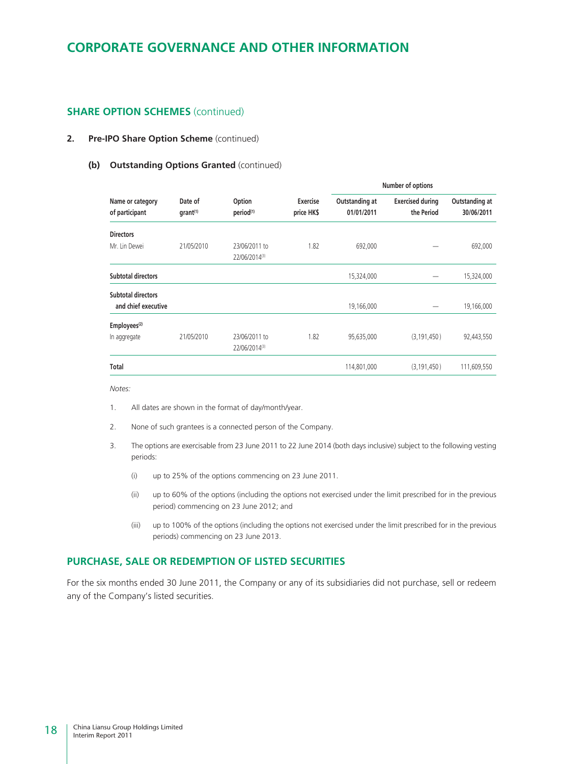### **SHARE OPTION SCHEMES** (continued)

#### **2. Pre-IPO Share Option Scheme** (continued)

#### **(b) Outstanding Options Granted** (continued)

|                                    |                                 |                                 |                               |                              | Number of options                     |                              |
|------------------------------------|---------------------------------|---------------------------------|-------------------------------|------------------------------|---------------------------------------|------------------------------|
| Name or category<br>of participant | Date of<br>grant <sup>(1)</sup> | Option<br>period <sup>(1)</sup> | <b>Exercise</b><br>price HK\$ | Outstanding at<br>01/01/2011 | <b>Exercised during</b><br>the Period | Outstanding at<br>30/06/2011 |
| <b>Directors</b>                   |                                 |                                 |                               |                              |                                       |                              |
| Mr. Lin Dewei                      | 21/05/2010                      | 23/06/2011 to<br>22/06/2014(3)  | 1.82                          | 692,000                      |                                       | 692,000                      |
| Subtotal directors                 |                                 |                                 |                               | 15,324,000                   |                                       | 15,324,000                   |
| <b>Subtotal directors</b>          |                                 |                                 |                               |                              |                                       |                              |
| and chief executive                |                                 |                                 |                               | 19,166,000                   |                                       | 19,166,000                   |
| Employees <sup>(2)</sup>           |                                 |                                 |                               |                              |                                       |                              |
| In aggregate                       | 21/05/2010                      | 23/06/2011 to<br>22/06/2014(3)  | 1.82                          | 95,635,000                   | (3, 191, 450)                         | 92,443,550                   |
| Total                              |                                 |                                 |                               | 114,801,000                  | (3, 191, 450)                         | 111,609,550                  |

*Notes:*

- 1. All dates are shown in the format of day/month/year.
- 2. None of such grantees is a connected person of the Company.
- 3. The options are exercisable from 23 June 2011 to 22 June 2014 (both days inclusive) subject to the following vesting periods:
	- (i) up to 25% of the options commencing on 23 June 2011.
	- (ii) up to 60% of the options (including the options not exercised under the limit prescribed for in the previous period) commencing on 23 June 2012; and
	- (iii) up to 100% of the options (including the options not exercised under the limit prescribed for in the previous periods) commencing on 23 June 2013.

### **PURCHASE, SALE OR REDEMPTION OF LISTED SECURITIES**

For the six months ended 30 June 2011, the Company or any of its subsidiaries did not purchase, sell or redeem any of the Company's listed securities.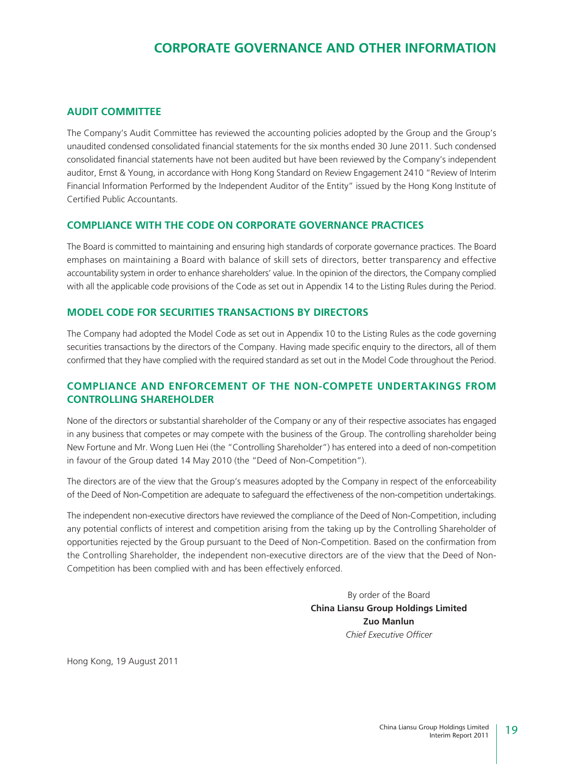### **AUDIT COMMITTEE**

The Company's Audit Committee has reviewed the accounting policies adopted by the Group and the Group's unaudited condensed consolidated financial statements for the six months ended 30 June 2011. Such condensed consolidated financial statements have not been audited but have been reviewed by the Company's independent auditor, Ernst & Young, in accordance with Hong Kong Standard on Review Engagement 2410 "Review of Interim Financial Information Performed by the Independent Auditor of the Entity" issued by the Hong Kong Institute of Certified Public Accountants.

### **COMPLIANCE WITH THE CODE ON CORPORATE GOVERNANCE PRACTICES**

The Board is committed to maintaining and ensuring high standards of corporate governance practices. The Board emphases on maintaining a Board with balance of skill sets of directors, better transparency and effective accountability system in order to enhance shareholders' value. In the opinion of the directors, the Company complied with all the applicable code provisions of the Code as set out in Appendix 14 to the Listing Rules during the Period.

### **MODEL CODE FOR SECURITIES TRANSACTIONS BY DIRECTORS**

The Company had adopted the Model Code as set out in Appendix 10 to the Listing Rules as the code governing securities transactions by the directors of the Company. Having made specific enquiry to the directors, all of them confirmed that they have complied with the required standard as set out in the Model Code throughout the Period.

### **COMPLIANCE AND ENFORCEMENT OF THE NON-COMPETE UNDERTAKINGS FROM CONTROLLING SHAREHOLDER**

None of the directors or substantial shareholder of the Company or any of their respective associates has engaged in any business that competes or may compete with the business of the Group. The controlling shareholder being New Fortune and Mr. Wong Luen Hei (the "Controlling Shareholder") has entered into a deed of non-competition in favour of the Group dated 14 May 2010 (the "Deed of Non-Competition").

The directors are of the view that the Group's measures adopted by the Company in respect of the enforceability of the Deed of Non-Competition are adequate to safeguard the effectiveness of the non-competition undertakings.

The independent non-executive directors have reviewed the compliance of the Deed of Non-Competition, including any potential conflicts of interest and competition arising from the taking up by the Controlling Shareholder of opportunities rejected by the Group pursuant to the Deed of Non-Competition. Based on the confirmation from the Controlling Shareholder, the independent non-executive directors are of the view that the Deed of Non-Competition has been complied with and has been effectively enforced.

> By order of the Board **China Liansu Group Holdings Limited Zuo Manlun** *Chief Executive Officer*

Hong Kong, 19 August 2011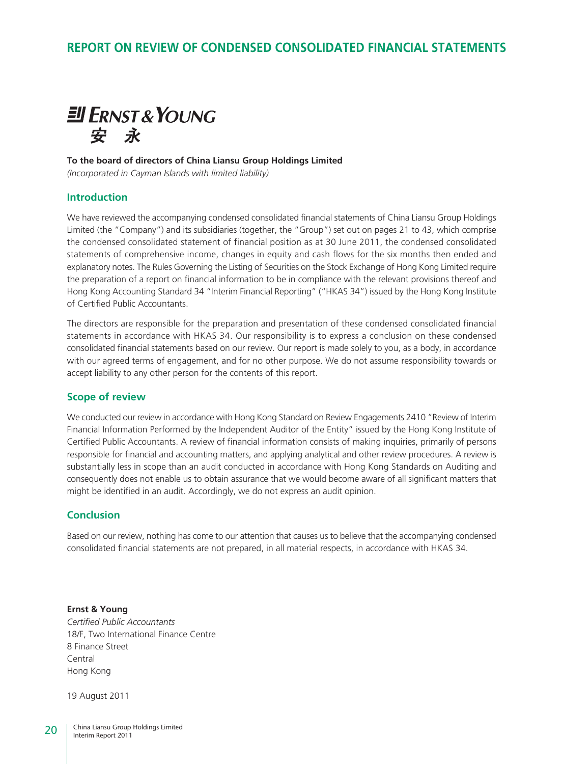### **REPORT ON REVIEW OF CONDENSED CONSOLIDATED FINANCIAL STATEMENTS**



#### **To the board of directors of China Liansu Group Holdings Limited**

*(Incorporated in Cayman Islands with limited liability)*

### **Introduction**

We have reviewed the accompanying condensed consolidated financial statements of China Liansu Group Holdings Limited (the "Company") and its subsidiaries (together, the "Group") set out on pages 21 to 43, which comprise the condensed consolidated statement of financial position as at 30 June 2011, the condensed consolidated statements of comprehensive income, changes in equity and cash flows for the six months then ended and explanatory notes. The Rules Governing the Listing of Securities on the Stock Exchange of Hong Kong Limited require the preparation of a report on financial information to be in compliance with the relevant provisions thereof and Hong Kong Accounting Standard 34 "Interim Financial Reporting" ("HKAS 34") issued by the Hong Kong Institute of Certified Public Accountants.

The directors are responsible for the preparation and presentation of these condensed consolidated financial statements in accordance with HKAS 34. Our responsibility is to express a conclusion on these condensed consolidated financial statements based on our review. Our report is made solely to you, as a body, in accordance with our agreed terms of engagement, and for no other purpose. We do not assume responsibility towards or accept liability to any other person for the contents of this report.

### **Scope of review**

We conducted our review in accordance with Hong Kong Standard on Review Engagements 2410 "Review of Interim Financial Information Performed by the Independent Auditor of the Entity" issued by the Hong Kong Institute of Certified Public Accountants. A review of financial information consists of making inquiries, primarily of persons responsible for financial and accounting matters, and applying analytical and other review procedures. A review is substantially less in scope than an audit conducted in accordance with Hong Kong Standards on Auditing and consequently does not enable us to obtain assurance that we would become aware of all significant matters that might be identified in an audit. Accordingly, we do not express an audit opinion.

### **Conclusion**

Based on our review, nothing has come to our attention that causes us to believe that the accompanying condensed consolidated financial statements are not prepared, in all material respects, in accordance with HKAS 34.

**Ernst & Young** *Certified Public Accountants* 18/F, Two International Finance Centre 8 Finance Street Central Hong Kong

19 August 2011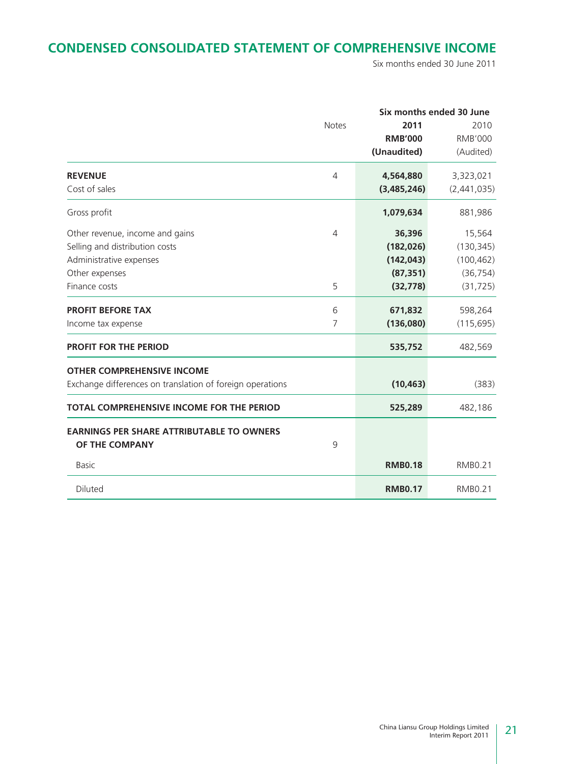### **CONDENSED CONSOLIDATED STATEMENT OF COMPREHENSIVE INCOME**

Six months ended 30 June 2011

|                                                           |              |                | Six months ended 30 June |  |  |
|-----------------------------------------------------------|--------------|----------------|--------------------------|--|--|
|                                                           | <b>Notes</b> | 2011           | 2010                     |  |  |
|                                                           |              | <b>RMB'000</b> | <b>RMB'000</b>           |  |  |
|                                                           |              | (Unaudited)    | (Audited)                |  |  |
| <b>REVENUE</b>                                            | 4            | 4,564,880      | 3,323,021                |  |  |
| Cost of sales                                             |              | (3,485,246)    | (2,441,035)              |  |  |
| Gross profit                                              |              | 1,079,634      | 881,986                  |  |  |
| Other revenue, income and gains                           | 4            | 36,396         | 15,564                   |  |  |
| Selling and distribution costs                            |              | (182, 026)     | (130, 345)               |  |  |
| Administrative expenses                                   |              | (142, 043)     | (100, 462)               |  |  |
| Other expenses                                            |              | (87, 351)      | (36, 754)                |  |  |
| Finance costs                                             | 5            | (32, 778)      | (31, 725)                |  |  |
| <b>PROFIT BEFORE TAX</b>                                  | 6            | 671,832        | 598,264                  |  |  |
| Income tax expense                                        | 7            | (136,080)      | (115, 695)               |  |  |
| <b>PROFIT FOR THE PERIOD</b>                              |              | 535,752        | 482,569                  |  |  |
| <b>OTHER COMPREHENSIVE INCOME</b>                         |              |                |                          |  |  |
| Exchange differences on translation of foreign operations |              | (10, 463)      | (383)                    |  |  |
| TOTAL COMPREHENSIVE INCOME FOR THE PERIOD                 |              | 525,289        | 482,186                  |  |  |
| <b>EARNINGS PER SHARE ATTRIBUTABLE TO OWNERS</b>          |              |                |                          |  |  |
| OF THE COMPANY                                            | 9            |                |                          |  |  |
| <b>Basic</b>                                              |              | <b>RMB0.18</b> | <b>RMB0.21</b>           |  |  |
| Diluted                                                   |              | <b>RMB0.17</b> | <b>RMB0.21</b>           |  |  |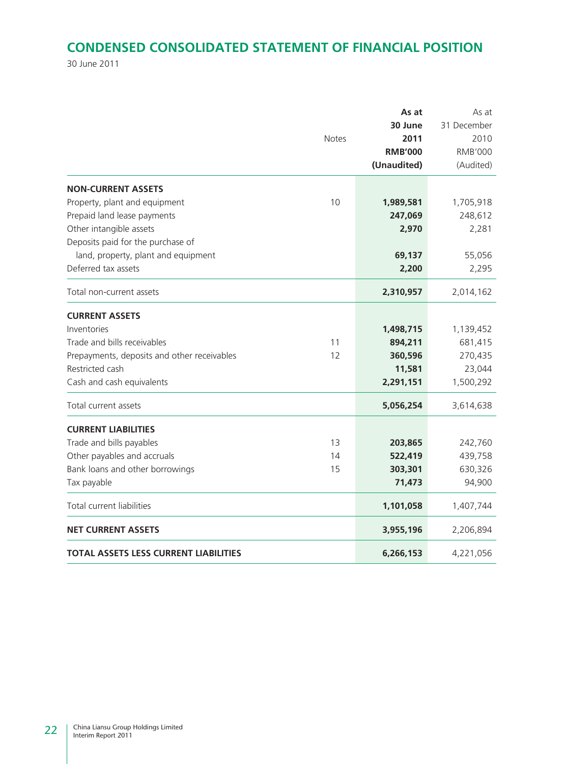### **CONDENSED CONSOLIDATED STATEMENT OF FINANCIAL POSITION**

30 June 2011

|                                             | <b>Notes</b> | As at<br>30 June<br>2011<br><b>RMB'000</b><br>(Unaudited) | As at<br>31 December<br>2010<br><b>RMB'000</b><br>(Audited) |
|---------------------------------------------|--------------|-----------------------------------------------------------|-------------------------------------------------------------|
| <b>NON-CURRENT ASSETS</b>                   |              |                                                           |                                                             |
| Property, plant and equipment               | 10           | 1,989,581                                                 | 1,705,918                                                   |
| Prepaid land lease payments                 |              | 247,069                                                   | 248,612                                                     |
| Other intangible assets                     |              | 2,970                                                     | 2,281                                                       |
| Deposits paid for the purchase of           |              |                                                           |                                                             |
| land, property, plant and equipment         |              | 69,137                                                    | 55,056                                                      |
| Deferred tax assets                         |              | 2,200                                                     | 2,295                                                       |
| Total non-current assets                    |              | 2,310,957                                                 | 2,014,162                                                   |
| <b>CURRENT ASSETS</b>                       |              |                                                           |                                                             |
| Inventories                                 |              | 1,498,715                                                 | 1,139,452                                                   |
| Trade and bills receivables                 | 11           | 894,211                                                   | 681,415                                                     |
| Prepayments, deposits and other receivables | 12           | 360,596                                                   | 270,435                                                     |
| Restricted cash                             |              | 11,581                                                    | 23,044                                                      |
| Cash and cash equivalents                   |              | 2,291,151                                                 | 1,500,292                                                   |
| Total current assets                        |              | 5,056,254                                                 | 3,614,638                                                   |
| <b>CURRENT LIABILITIES</b>                  |              |                                                           |                                                             |
| Trade and bills payables                    | 13           | 203,865                                                   | 242,760                                                     |
| Other payables and accruals                 | 14           | 522,419                                                   | 439,758                                                     |
| Bank loans and other borrowings             | 15           | 303,301                                                   | 630,326                                                     |
| Tax payable                                 |              | 71,473                                                    | 94,900                                                      |
| <b>Total current liabilities</b>            |              | 1,101,058                                                 | 1,407,744                                                   |
| <b>NET CURRENT ASSETS</b>                   |              | 3,955,196                                                 | 2,206,894                                                   |
| TOTAL ASSETS LESS CURRENT LIABILITIES       |              | 6,266,153                                                 | 4,221,056                                                   |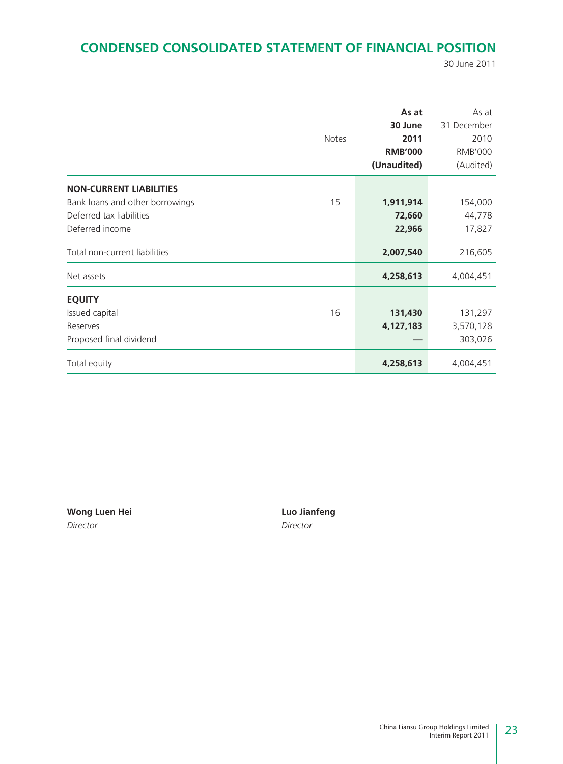### **CONDENSED CONSOLIDATED STATEMENT OF FINANCIAL POSITION**

30 June 2011

|                                 |              | As at          | As at          |
|---------------------------------|--------------|----------------|----------------|
|                                 |              | 30 June        | 31 December    |
|                                 | <b>Notes</b> | 2011           | 2010           |
|                                 |              | <b>RMB'000</b> | <b>RMB'000</b> |
|                                 |              | (Unaudited)    | (Audited)      |
| <b>NON-CURRENT LIABILITIES</b>  |              |                |                |
| Bank loans and other borrowings | 15           | 1,911,914      | 154,000        |
| Deferred tax liabilities        |              | 72,660         | 44,778         |
| Deferred income                 |              | 22,966         | 17,827         |
| Total non-current liabilities   |              | 2,007,540      | 216,605        |
| Net assets                      |              | 4,258,613      | 4,004,451      |
| <b>EQUITY</b>                   |              |                |                |
| Issued capital                  | 16           | 131,430        | 131,297        |
| Reserves                        |              | 4,127,183      | 3,570,128      |
| Proposed final dividend         |              |                | 303,026        |
| Total equity                    |              | 4,258,613      | 4,004,451      |

**Wong Luen Hei Luo Jianfeng** *Director Director*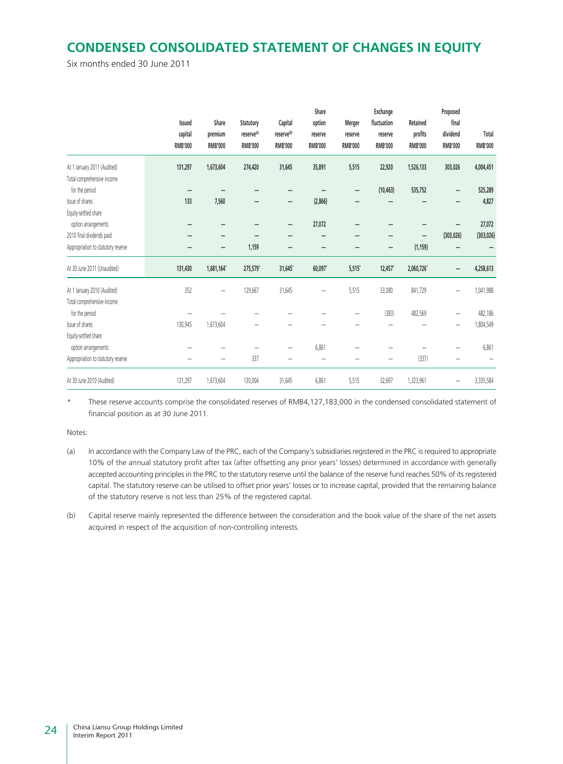### **CONDENSED CONSOLIDATED STATEMENT OF CHANGES IN EQUITY**

Six months ended 30 June 2011

|                                    | Issued<br>capital<br><b>RMB'000</b> | Share<br>premium<br><b>RMB'000</b> | Statutory<br>reserve <sup>(a)</sup><br><b>RMB'000</b> | Capital<br>reserve <sup>(b)</sup><br><b>RMB'000</b> | Share<br>option<br>reserve<br><b>RMB'000</b> | Merger<br>reserve<br><b>RMB'000</b> | Exchange<br>fluctuation<br>reserve<br><b>RMB'000</b> | Retained<br>profits<br><b>RMB'000</b> | Proposed<br>final<br>dividend<br><b>RMB'000</b> | Total<br><b>RMB'000</b> |
|------------------------------------|-------------------------------------|------------------------------------|-------------------------------------------------------|-----------------------------------------------------|----------------------------------------------|-------------------------------------|------------------------------------------------------|---------------------------------------|-------------------------------------------------|-------------------------|
| At 1 January 2011 (Audited)        | 131,297                             | 1,673,604                          | 274,420                                               | 31,645                                              | 35,891                                       | 5,515                               | 22,920                                               | 1,526,133                             | 303,026                                         | 4,004,451               |
| Total comprehensive income         |                                     |                                    |                                                       |                                                     |                                              |                                     |                                                      |                                       |                                                 |                         |
| for the period                     |                                     |                                    |                                                       |                                                     |                                              | -                                   | (10, 463)                                            | 535,752                               | -                                               | 525,289                 |
| Issue of shares                    | 133                                 | 7,560                              |                                                       |                                                     | (2,866)                                      |                                     |                                                      |                                       |                                                 | 4,827                   |
| Equity-settled share               |                                     |                                    |                                                       |                                                     |                                              |                                     |                                                      |                                       |                                                 |                         |
| option arrangements                |                                     | -                                  |                                                       | -                                                   | 27,072                                       | -                                   |                                                      |                                       | -                                               | 27,072                  |
| 2010 final dividends paid          |                                     | -                                  |                                                       |                                                     |                                              |                                     | -                                                    | -                                     | (303, 026)                                      | (303, 026)              |
| Appropriation to statutory reserve |                                     | -                                  | 1,159                                                 |                                                     |                                              |                                     | -                                                    | (1, 159)                              |                                                 |                         |
| At 30 June 2011 (Unaudited)        | 131,430                             | 1,681,164*                         | 275,579*                                              | 31,645*                                             | 60,097*                                      | 5,515                               | 12,457                                               | 2,060,726*                            | -                                               | 4,258,613               |
| At 1 January 2010 (Audited)        | 352                                 | $\overline{\phantom{0}}$           | 129,667                                               | 31,645                                              |                                              | 5,515                               | 33,080                                               | 841,729                               |                                                 | 1,041,988               |
| Total comprehensive income         |                                     |                                    |                                                       |                                                     |                                              |                                     |                                                      |                                       |                                                 |                         |
| for the period                     |                                     |                                    |                                                       |                                                     |                                              |                                     | (383)                                                | 482,569                               | $\overline{\phantom{0}}$                        | 482,186                 |
| Issue of shares                    | 130,945                             | 1,673,604                          |                                                       |                                                     |                                              |                                     |                                                      |                                       |                                                 | 1,804,549               |
| Equity-settled share               |                                     |                                    |                                                       |                                                     |                                              |                                     |                                                      |                                       |                                                 |                         |
| option arrangements                |                                     |                                    |                                                       |                                                     | 6,861                                        |                                     |                                                      |                                       |                                                 | 6,861                   |
| Appropriation to statutory reserve |                                     | $\qquad \qquad -$                  | 337                                                   |                                                     |                                              |                                     |                                                      | (337)                                 |                                                 |                         |
| At 30 June 2010 (Audited)          | 131,297                             | 1,673,604                          | 130,004                                               | 31,645                                              | 6,861                                        | 5,515                               | 32,697                                               | 1,323,961                             | $\overline{\phantom{0}}$                        | 3,335,584               |

These reserve accounts comprise the consolidated reserves of RMB4,127,183,000 in the condensed consolidated statement of financial position as at 30 June 2011.

Notes:

- (a) In accordance with the Company Law of the PRC, each of the Company's subsidiaries registered in the PRC is required to appropriate 10% of the annual statutory profit after tax (after offsetting any prior years' losses) determined in accordance with generally accepted accounting principles in the PRC to the statutory reserve until the balance of the reserve fund reaches 50% of its registered capital. The statutory reserve can be utilised to offset prior years' losses or to increase capital, provided that the remaining balance of the statutory reserve is not less than 25% of the registered capital.
- (b) Capital reserve mainly represented the difference between the consideration and the book value of the share of the net assets acquired in respect of the acquisition of non-controlling interests.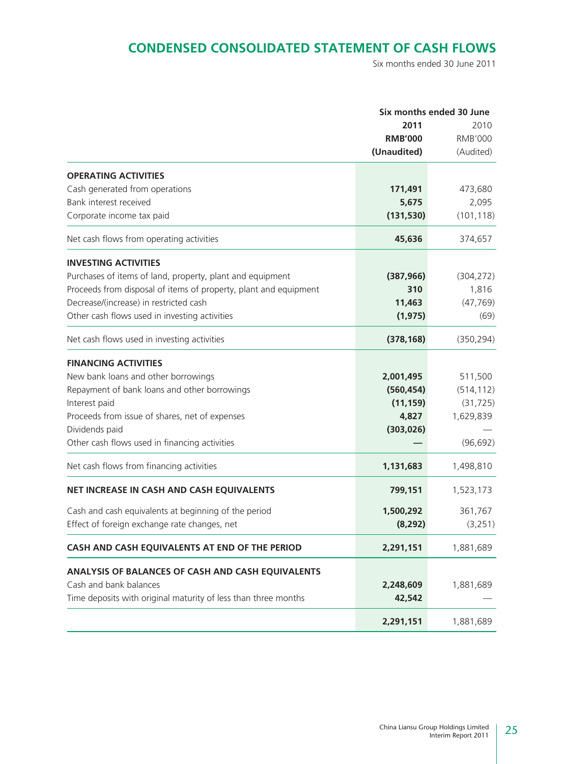### **CONDENSED CONSOLIDATED STATEMENT OF CASH FLOWS**

Six months ended 30 June 2011

|                                                                  |                | Six months ended 30 June |
|------------------------------------------------------------------|----------------|--------------------------|
|                                                                  | 2011           | 2010                     |
|                                                                  | <b>RMB'000</b> | <b>RMB'000</b>           |
|                                                                  | (Unaudited)    | (Audited)                |
| <b>OPERATING ACTIVITIES</b>                                      |                |                          |
| Cash generated from operations                                   | 171,491        | 473,680                  |
| Bank interest received                                           | 5,675          | 2,095                    |
| Corporate income tax paid                                        | (131, 530)     | (101, 118)               |
| Net cash flows from operating activities                         | 45,636         | 374,657                  |
| <b>INVESTING ACTIVITIES</b>                                      |                |                          |
| Purchases of items of land, property, plant and equipment        | (387, 966)     | (304, 272)               |
| Proceeds from disposal of items of property, plant and equipment | 310            | 1,816                    |
| Decrease/(increase) in restricted cash                           | 11,463         | (47, 769)                |
| Other cash flows used in investing activities                    | (1, 975)       | (69)                     |
| Net cash flows used in investing activities                      | (378, 168)     | (350, 294)               |
| <b>FINANCING ACTIVITIES</b>                                      |                |                          |
| New bank loans and other borrowings                              | 2,001,495      | 511,500                  |
| Repayment of bank loans and other borrowings                     | (560, 454)     | (514, 112)               |
| Interest paid                                                    | (11, 159)      | (31, 725)                |
| Proceeds from issue of shares, net of expenses                   | 4,827          | 1,629,839                |
| Dividends paid                                                   | (303, 026)     |                          |
| Other cash flows used in financing activities                    |                | (96, 692)                |
| Net cash flows from financing activities                         | 1,131,683      | 1,498,810                |
| NET INCREASE IN CASH AND CASH EQUIVALENTS                        | 799,151        | 1,523,173                |
| Cash and cash equivalents at beginning of the period             | 1,500,292      | 361,767                  |
| Effect of foreign exchange rate changes, net                     | (8, 292)       | (3,251)                  |
|                                                                  |                |                          |
| CASH AND CASH EQUIVALENTS AT END OF THE PERIOD                   | 2,291,151      | 1,881,689                |
| ANALYSIS OF BALANCES OF CASH AND CASH EQUIVALENTS                |                |                          |
| Cash and bank balances                                           | 2,248,609      | 1,881,689                |
| Time deposits with original maturity of less than three months   | 42,542         |                          |
|                                                                  | 2,291,151      | 1,881,689                |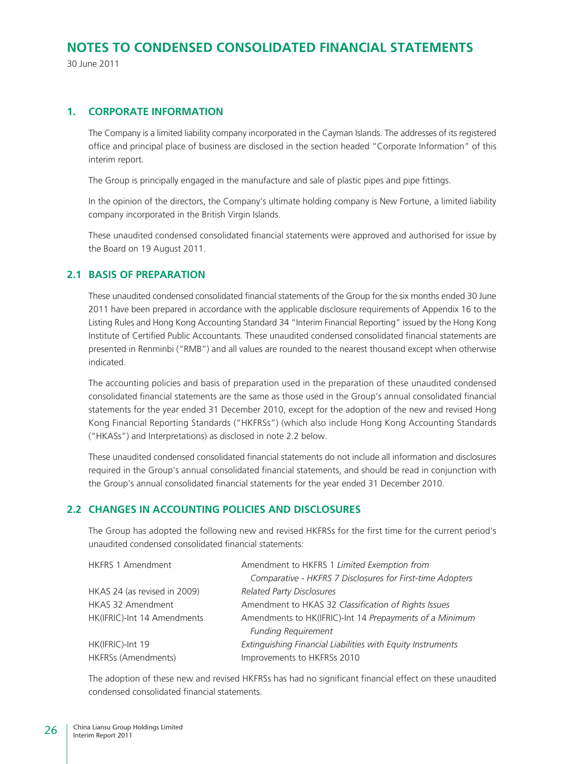30 June 2011

### **1. CORPORATE INFORMATION**

The Company is a limited liability company incorporated in the Cayman Islands. The addresses of its registered office and principal place of business are disclosed in the section headed "Corporate Information" of this interim report.

The Group is principally engaged in the manufacture and sale of plastic pipes and pipe fittings.

In the opinion of the directors, the Company's ultimate holding company is New Fortune, a limited liability company incorporated in the British Virgin Islands.

These unaudited condensed consolidated financial statements were approved and authorised for issue by the Board on 19 August 2011.

### **2.1 BASIS OF PREPARATION**

These unaudited condensed consolidated financial statements of the Group for the six months ended 30 June 2011 have been prepared in accordance with the applicable disclosure requirements of Appendix 16 to the Listing Rules and Hong Kong Accounting Standard 34 "Interim Financial Reporting" issued by the Hong Kong Institute of Certified Public Accountants. These unaudited condensed consolidated financial statements are presented in Renminbi ("RMB") and all values are rounded to the nearest thousand except when otherwise indicated.

The accounting policies and basis of preparation used in the preparation of these unaudited condensed consolidated financial statements are the same as those used in the Group's annual consolidated financial statements for the year ended 31 December 2010, except for the adoption of the new and revised Hong Kong Financial Reporting Standards ("HKFRSs") (which also include Hong Kong Accounting Standards ("HKASs") and Interpretations) as disclosed in note 2.2 below.

These unaudited condensed consolidated financial statements do not include all information and disclosures required in the Group's annual consolidated financial statements, and should be read in conjunction with the Group's annual consolidated financial statements for the year ended 31 December 2010.

### **2.2 CHANGES IN ACCOUNTING POLICIES AND DISCLOSURES**

The Group has adopted the following new and revised HKFRSs for the first time for the current period's unaudited condensed consolidated financial statements:

| <b>HKFRS 1 Amendment</b>     | Amendment to HKFRS 1 Limited Exemption from                 |
|------------------------------|-------------------------------------------------------------|
|                              | Comparative - HKFRS 7 Disclosures for First-time Adopters   |
| HKAS 24 (as revised in 2009) | <b>Related Party Disclosures</b>                            |
| HKAS 32 Amendment            | Amendment to HKAS 32 Classification of Rights Issues        |
| HK(IFRIC)-Int 14 Amendments  | Amendments to HK(IFRIC)-Int 14 Prepayments of a Minimum     |
|                              | <b>Funding Requirement</b>                                  |
| HK(IFRIC)-Int 19             | Extinguishing Financial Liabilities with Equity Instruments |
| HKFRSs (Amendments)          | Improvements to HKFRSs 2010                                 |

The adoption of these new and revised HKFRSs has had no significant financial effect on these unaudited condensed consolidated financial statements.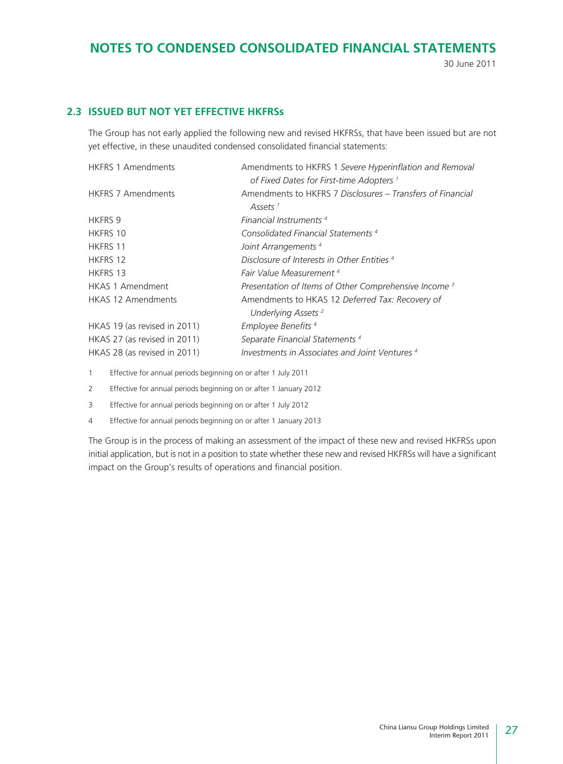30 June 2011

### **2.3 ISSUED BUT NOT YET EFFECTIVE HKFRSs**

The Group has not early applied the following new and revised HKFRSs, that have been issued but are not yet effective, in these unaudited condensed consolidated financial statements:

| <b>HKFRS 1 Amendments</b>    | Amendments to HKFRS 1 Severe Hyperinflation and Removal                           |
|------------------------------|-----------------------------------------------------------------------------------|
|                              | of Fixed Dates for First-time Adopters <sup>1</sup>                               |
| <b>HKFRS 7 Amendments</b>    | Amendments to HKFRS 7 Disclosures – Transfers of Financial<br>Assets <sup>1</sup> |
| HKFRS 9                      | Financial Instruments <sup>4</sup>                                                |
| <b>HKFRS 10</b>              | Consolidated Financial Statements <sup>4</sup>                                    |
| <b>HKFRS 11</b>              | Joint Arrangements <sup>4</sup>                                                   |
| <b>HKFRS 12</b>              | Disclosure of Interests in Other Entities <sup>4</sup>                            |
| HKFRS 13                     | Fair Value Measurement <sup>4</sup>                                               |
| <b>HKAS 1 Amendment</b>      | Presentation of Items of Other Comprehensive Income <sup>3</sup>                  |
| <b>HKAS 12 Amendments</b>    | Amendments to HKAS 12 Deferred Tax: Recovery of                                   |
|                              | Underlying Assets <sup>2</sup>                                                    |
| HKAS 19 (as revised in 2011) | Employee Benefits <sup>4</sup>                                                    |
| HKAS 27 (as revised in 2011) | Separate Financial Statements <sup>4</sup>                                        |
| HKAS 28 (as revised in 2011) | Investments in Associates and Joint Ventures <sup>4</sup>                         |

1 Effective for annual periods beginning on or after 1 July 2011

2 Effective for annual periods beginning on or after 1 January 2012

3 Effective for annual periods beginning on or after 1 July 2012

4 Effective for annual periods beginning on or after 1 January 2013

The Group is in the process of making an assessment of the impact of these new and revised HKFRSs upon initial application, but is not in a position to state whether these new and revised HKFRSs will have a significant impact on the Group's results of operations and financial position.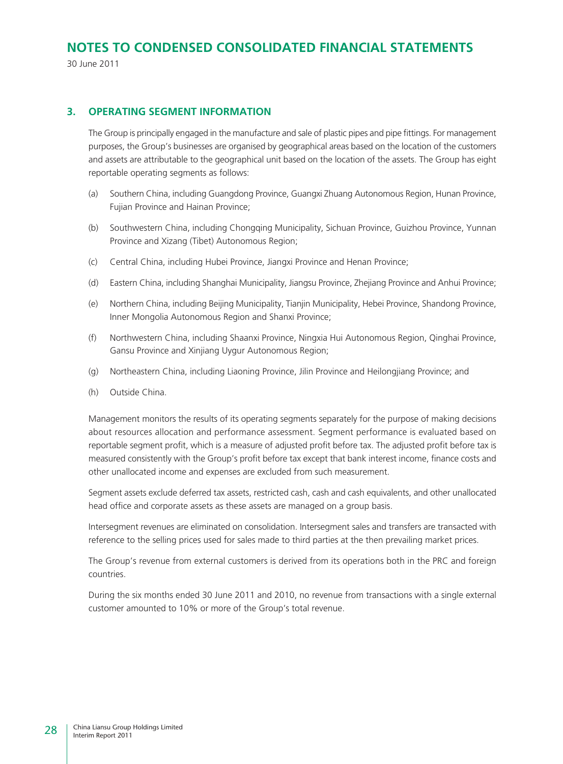30 June 2011

### **3. OPERATING SEGMENT INFORMATION**

The Group is principally engaged in the manufacture and sale of plastic pipes and pipe fittings. For management purposes, the Group's businesses are organised by geographical areas based on the location of the customers and assets are attributable to the geographical unit based on the location of the assets. The Group has eight reportable operating segments as follows:

- (a) Southern China, including Guangdong Province, Guangxi Zhuang Autonomous Region, Hunan Province, Fujian Province and Hainan Province;
- (b) Southwestern China, including Chongqing Municipality, Sichuan Province, Guizhou Province, Yunnan Province and Xizang (Tibet) Autonomous Region;
- (c) Central China, including Hubei Province, Jiangxi Province and Henan Province;
- (d) Eastern China, including Shanghai Municipality, Jiangsu Province, Zhejiang Province and Anhui Province;
- (e) Northern China, including Beijing Municipality, Tianjin Municipality, Hebei Province, Shandong Province, Inner Mongolia Autonomous Region and Shanxi Province;
- (f) Northwestern China, including Shaanxi Province, Ningxia Hui Autonomous Region, Qinghai Province, Gansu Province and Xinjiang Uygur Autonomous Region;
- (g) Northeastern China, including Liaoning Province, Jilin Province and Heilongjiang Province; and
- (h) Outside China.

Management monitors the results of its operating segments separately for the purpose of making decisions about resources allocation and performance assessment. Segment performance is evaluated based on reportable segment profit, which is a measure of adjusted profit before tax. The adjusted profit before tax is measured consistently with the Group's profit before tax except that bank interest income, finance costs and other unallocated income and expenses are excluded from such measurement.

Segment assets exclude deferred tax assets, restricted cash, cash and cash equivalents, and other unallocated head office and corporate assets as these assets are managed on a group basis.

Intersegment revenues are eliminated on consolidation. Intersegment sales and transfers are transacted with reference to the selling prices used for sales made to third parties at the then prevailing market prices.

The Group's revenue from external customers is derived from its operations both in the PRC and foreign countries.

During the six months ended 30 June 2011 and 2010, no revenue from transactions with a single external customer amounted to 10% or more of the Group's total revenue.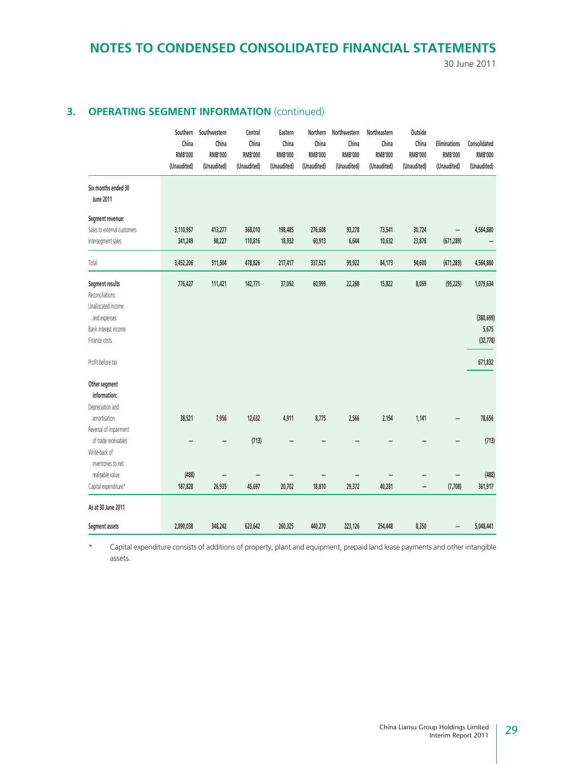30 June 2011

### **3. OPERATING SEGMENT INFORMATION** (continued)

|                                                                                                                                                                          | Southern<br>China<br><b>RMB'000</b><br>(Unaudited) | Southwestern<br>China<br><b>RMB'000</b><br>(Unaudited) | Central<br>China<br><b>RMB'000</b><br>(Unaudited) | Eastern<br>China<br><b>RMB'000</b><br>(Unaudited) | Northern<br>China<br><b>RMB'000</b><br>(Unaudited) | Northwestern<br>China<br><b>RMB'000</b><br>(Unaudited) | Northeastern<br>China<br><b>RMB'000</b><br>(Unaudited) | Outside<br>China<br><b>RMB'000</b><br>(Unaudited) | <b>Eliminations</b><br><b>RMB'000</b><br>(Unaudited) | Consolidated<br><b>RMB'000</b><br>(Unaudited)            |
|--------------------------------------------------------------------------------------------------------------------------------------------------------------------------|----------------------------------------------------|--------------------------------------------------------|---------------------------------------------------|---------------------------------------------------|----------------------------------------------------|--------------------------------------------------------|--------------------------------------------------------|---------------------------------------------------|------------------------------------------------------|----------------------------------------------------------|
| Six months ended 30<br>June 2011                                                                                                                                         |                                                    |                                                        |                                                   |                                                   |                                                    |                                                        |                                                        |                                                   |                                                      |                                                          |
| Segment revenue:<br>Sales to external customers<br>Intersegment sales                                                                                                    | 3,110,957<br>341,249                               | 413,277<br>98,227                                      | 368,010<br>110,816                                | 198,485<br>18,932                                 | 276,608<br>60,913                                  | 93,278<br>6,644                                        | 73,541<br>10,632                                       | 30,724<br>23,876                                  | (671, 289)                                           | 4,564,880                                                |
| Total                                                                                                                                                                    | 3,452,206                                          | 511,504                                                | 478,826                                           | 217,417                                           | 337,521                                            | 99,922                                                 | 84,173                                                 | 54,600                                            | (671, 289)                                           | 4,564,880                                                |
| Segment results<br>Reconciliations:<br>Unallocated income<br>and expenses<br>Bank interest income<br>Finance costs<br>Profit before tax<br>Other segment<br>information: | 776,427                                            | 111,421                                                | 142,771                                           | 37,092                                            | 60,999                                             | 22,268                                                 | 15,822                                                 | 8,059                                             | (95, 225)                                            | 1,079,634<br>(380, 699)<br>5,675<br>(32, 778)<br>671,832 |
| Depreciation and<br>amortisation                                                                                                                                         | 38,521                                             | 7,956                                                  | 12,632                                            | 4,911                                             | 8,775                                              | 2,566                                                  | 2,154                                                  | 1,141                                             | -                                                    | 78,656                                                   |
| Reversal of impairment<br>of trade receivables<br>Write-back of<br>inventories to net                                                                                    |                                                    |                                                        | (713)                                             |                                                   |                                                    |                                                        |                                                        |                                                   |                                                      | (713)                                                    |
| realisable value<br>Capital expenditure*                                                                                                                                 | (488)<br>187,828                                   | 26,935                                                 | 45,697                                            | 20,702                                            | 18,810                                             | 29,372                                                 | 40,281                                                 | -                                                 | (7,708)                                              | (488)<br>361,917                                         |
| As at 30 June 2011                                                                                                                                                       |                                                    |                                                        |                                                   |                                                   |                                                    |                                                        |                                                        |                                                   |                                                      |                                                          |
| Segment assets                                                                                                                                                           | 2,890,038                                          | 348,242                                                | 623,642                                           | 260,325                                           | 440,270                                            | 223,126                                                | 254,448                                                | 8,350                                             |                                                      | 5,048,441                                                |

\* Capital expenditure consists of additions of property, plant and equipment, prepaid land lease payments and other intangible assets.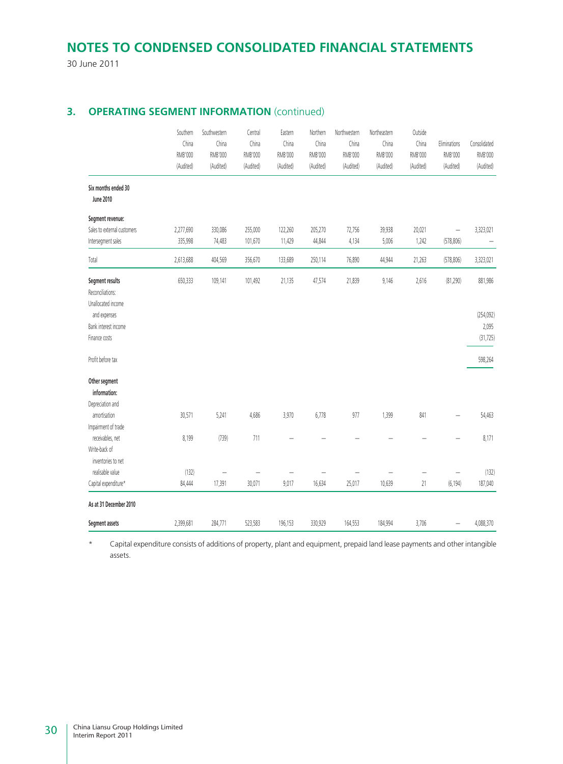30 June 2011

### **3. OPERATING SEGMENT INFORMATION** (continued)

|                                                           | Southern<br>China<br>RMB'000<br>(Audited) | Southwestern<br>China<br><b>RMB'000</b><br>(Audited) | Central<br>China<br>RMB'000<br>(Audited) | Eastern<br>China<br><b>RMB'000</b><br>(Audited) | Northern<br>China<br>RMB'000<br>(Audited) | Northwestern<br>China<br><b>RMB'000</b><br>(Audited) | Northeastern<br>China<br><b>RMB'000</b><br>(Audited) | Outside<br>China<br><b>RMB'000</b><br>(Audited) | Eliminations<br><b>RMB'000</b><br>(Audited) | Consolidated<br>RMB'000<br>(Audited) |
|-----------------------------------------------------------|-------------------------------------------|------------------------------------------------------|------------------------------------------|-------------------------------------------------|-------------------------------------------|------------------------------------------------------|------------------------------------------------------|-------------------------------------------------|---------------------------------------------|--------------------------------------|
| Six months ended 30<br><b>June 2010</b>                   |                                           |                                                      |                                          |                                                 |                                           |                                                      |                                                      |                                                 |                                             |                                      |
| Segment revenue:                                          |                                           |                                                      |                                          |                                                 |                                           |                                                      |                                                      |                                                 |                                             |                                      |
| Sales to external customers                               | 2,277,690                                 | 330,086                                              | 255,000                                  | 122,260                                         | 205,270                                   | 72,756                                               | 39,938                                               | 20,021                                          | $\overline{\phantom{0}}$                    | 3,323,021                            |
| Intersegment sales                                        | 335,998                                   | 74,483                                               | 101,670                                  | 11,429                                          | 44,844                                    | 4,134                                                | 5,006                                                | 1,242                                           | (578, 806)                                  |                                      |
| Total                                                     | 2,613,688                                 | 404,569                                              | 356,670                                  | 133,689                                         | 250,114                                   | 76,890                                               | 44,944                                               | 21,263                                          | (578, 806)                                  | 3,323,021                            |
| Segment results<br>Reconciliations:<br>Unallocated income | 650,333                                   | 109,141                                              | 101,492                                  | 21,135                                          | 47,574                                    | 21,839                                               | 9,146                                                | 2,616                                           | (81, 290)                                   | 881,986                              |
| and expenses                                              |                                           |                                                      |                                          |                                                 |                                           |                                                      |                                                      |                                                 |                                             | (254, 092)                           |
| Bank interest income                                      |                                           |                                                      |                                          |                                                 |                                           |                                                      |                                                      |                                                 |                                             | 2,095                                |
| Finance costs                                             |                                           |                                                      |                                          |                                                 |                                           |                                                      |                                                      |                                                 |                                             | (31, 725)                            |
| Profit before tax                                         |                                           |                                                      |                                          |                                                 |                                           |                                                      |                                                      |                                                 |                                             | 598,264                              |
| Other segment<br>information:                             |                                           |                                                      |                                          |                                                 |                                           |                                                      |                                                      |                                                 |                                             |                                      |
| Depreciation and                                          |                                           |                                                      |                                          |                                                 |                                           |                                                      |                                                      |                                                 |                                             |                                      |
| amortisation<br>Impairment of trade                       | 30,571                                    | 5,241                                                | 4,686                                    | 3,970                                           | 6,778                                     | 977                                                  | 1,399                                                | 841                                             |                                             | 54,463                               |
| receivables, net                                          | 8,199                                     | (739)                                                | 711                                      |                                                 |                                           |                                                      |                                                      |                                                 |                                             | 8,171                                |
| Write-back of                                             |                                           |                                                      |                                          |                                                 |                                           |                                                      |                                                      |                                                 |                                             |                                      |
| inventories to net                                        |                                           |                                                      |                                          |                                                 |                                           |                                                      |                                                      |                                                 |                                             |                                      |
| realisable value                                          | (132)                                     |                                                      |                                          |                                                 |                                           |                                                      |                                                      |                                                 |                                             | (132)                                |
| Capital expenditure*                                      | 84,444                                    | 17,391                                               | 30,071                                   | 9,017                                           | 16,634                                    | 25,017                                               | 10,639                                               | 21                                              | (6, 194)                                    | 187,040                              |
| As at 31 December 2010                                    |                                           |                                                      |                                          |                                                 |                                           |                                                      |                                                      |                                                 |                                             |                                      |
| Segment assets                                            | 2,399,681                                 | 284,771                                              | 523,583                                  | 196,153                                         | 330,929                                   | 164,553                                              | 184,994                                              | 3,706                                           |                                             | 4,088,370                            |

\* Capital expenditure consists of additions of property, plant and equipment, prepaid land lease payments and other intangible assets.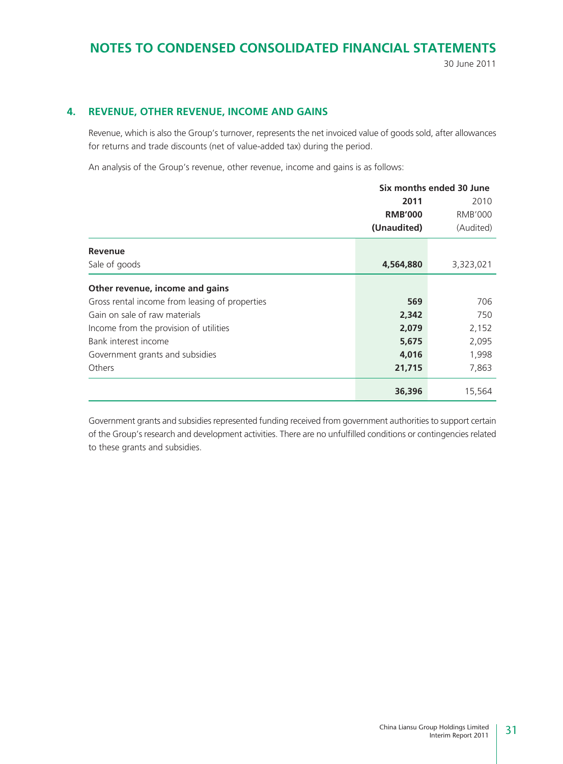30 June 2011

### **4. REVENUE, OTHER REVENUE, INCOME AND GAINS**

Revenue, which is also the Group's turnover, represents the net invoiced value of goods sold, after allowances for returns and trade discounts (net of value-added tax) during the period.

An analysis of the Group's revenue, other revenue, income and gains is as follows:

|                                                | Six months ended 30 June |           |  |
|------------------------------------------------|--------------------------|-----------|--|
|                                                | 2011                     | 2010      |  |
|                                                | <b>RMB'000</b>           | RMB'000   |  |
|                                                | (Unaudited)              | (Audited) |  |
| <b>Revenue</b>                                 |                          |           |  |
| Sale of goods                                  | 4,564,880                | 3,323,021 |  |
| Other revenue, income and gains                |                          |           |  |
| Gross rental income from leasing of properties | 569                      | 706       |  |
| Gain on sale of raw materials                  | 2,342                    | 750       |  |
| Income from the provision of utilities         | 2,079                    | 2,152     |  |
| Bank interest income                           | 5,675                    | 2,095     |  |
| Government grants and subsidies                | 4,016                    | 1,998     |  |
| Others                                         | 21,715                   | 7,863     |  |
|                                                | 36,396                   | 15,564    |  |

Government grants and subsidies represented funding received from government authorities to support certain of the Group's research and development activities. There are no unfulfilled conditions or contingencies related to these grants and subsidies.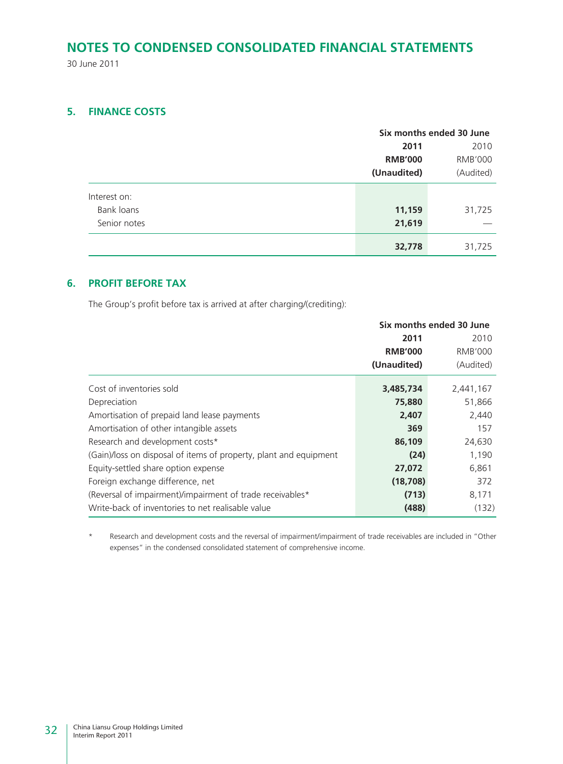30 June 2011

### **5. FINANCE COSTS**

|              |                | Six months ended 30 June |  |  |
|--------------|----------------|--------------------------|--|--|
|              | 2011           | 2010                     |  |  |
|              | <b>RMB'000</b> | <b>RMB'000</b>           |  |  |
|              | (Unaudited)    | (Audited)                |  |  |
| Interest on: |                |                          |  |  |
| Bank loans   | 11,159         | 31,725                   |  |  |
| Senior notes | 21,619         |                          |  |  |
|              | 32,778         | 31,725                   |  |  |

### **6. PROFIT BEFORE TAX**

The Group's profit before tax is arrived at after charging/(crediting):

|                                                                   |                | Six months ended 30 June |
|-------------------------------------------------------------------|----------------|--------------------------|
|                                                                   | 2011           | 2010                     |
|                                                                   | <b>RMB'000</b> | <b>RMB'000</b>           |
|                                                                   | (Unaudited)    | (Audited)                |
| Cost of inventories sold                                          | 3,485,734      | 2,441,167                |
| Depreciation                                                      | 75,880         | 51,866                   |
| Amortisation of prepaid land lease payments                       | 2,407          | 2,440                    |
| Amortisation of other intangible assets                           | 369            | 157                      |
| Research and development costs*                                   | 86,109         | 24,630                   |
| (Gain)/loss on disposal of items of property, plant and equipment | (24)           | 1,190                    |
| Equity-settled share option expense                               | 27,072         | 6,861                    |
| Foreign exchange difference, net                                  | (18, 708)      | 372                      |
| (Reversal of impairment)/impairment of trade receivables*         | (713)          | 8,171                    |
| Write-back of inventories to net realisable value                 | (488)          | (132)                    |

\* Research and development costs and the reversal of impairment/impairment of trade receivables are included in "Other expenses" in the condensed consolidated statement of comprehensive income.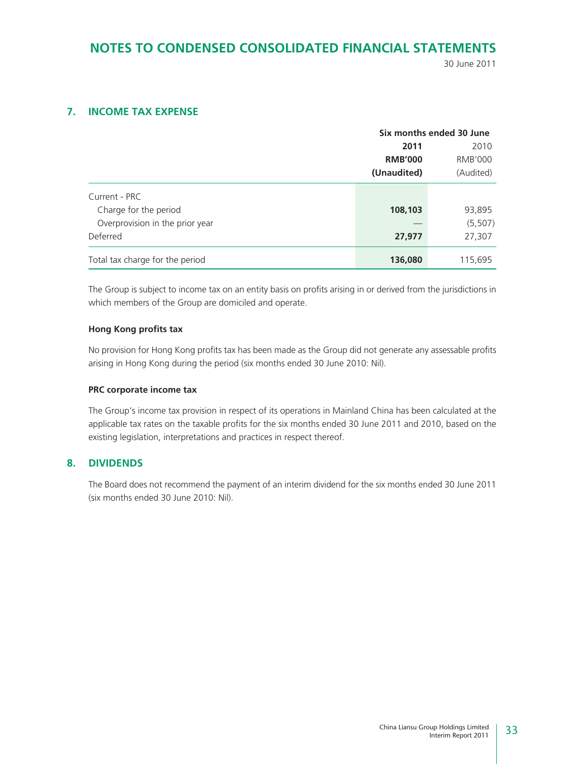30 June 2011

### **7. INCOME TAX EXPENSE**

|                                 | Six months ended 30 June |                |  |  |
|---------------------------------|--------------------------|----------------|--|--|
|                                 | 2011                     | 2010           |  |  |
|                                 | <b>RMB'000</b>           | <b>RMB'000</b> |  |  |
|                                 | (Unaudited)              | (Audited)      |  |  |
| Current - PRC                   |                          |                |  |  |
| Charge for the period           | 108,103                  | 93,895         |  |  |
| Overprovision in the prior year |                          | (5, 507)       |  |  |
| Deferred                        | 27,977                   | 27,307         |  |  |
| Total tax charge for the period | 136,080                  | 115,695        |  |  |

The Group is subject to income tax on an entity basis on profits arising in or derived from the jurisdictions in which members of the Group are domiciled and operate.

#### **Hong Kong profits tax**

No provision for Hong Kong profits tax has been made as the Group did not generate any assessable profits arising in Hong Kong during the period (six months ended 30 June 2010: Nil).

#### **PRC corporate income tax**

The Group's income tax provision in respect of its operations in Mainland China has been calculated at the applicable tax rates on the taxable profits for the six months ended 30 June 2011 and 2010, based on the existing legislation, interpretations and practices in respect thereof.

### **8. DIVIDENDS**

The Board does not recommend the payment of an interim dividend for the six months ended 30 June 2011 (six months ended 30 June 2010: Nil).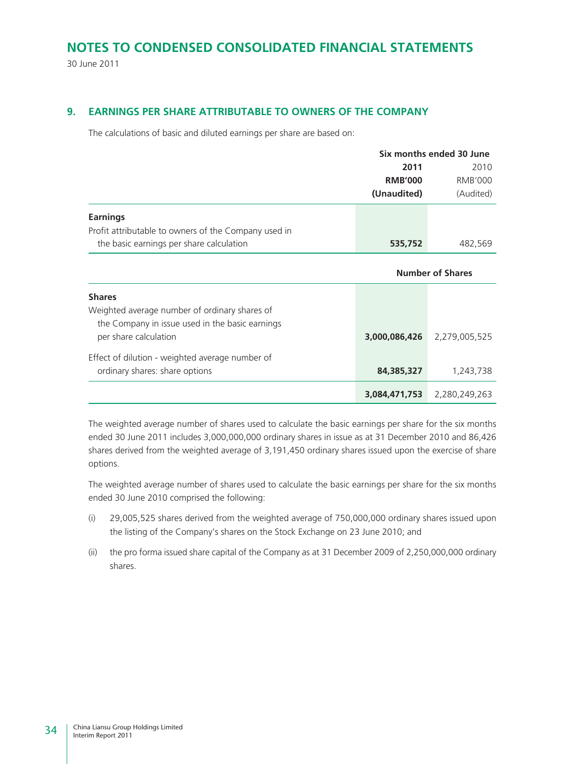30 June 2011

### **9. EARNINGS PER SHARE ATTRIBUTABLE TO OWNERS OF THE COMPANY**

The calculations of basic and diluted earnings per share are based on:

Effect of dilution - weighted average number of

|                                                      |                         | Six months ended 30 June |  |  |  |
|------------------------------------------------------|-------------------------|--------------------------|--|--|--|
|                                                      | 2011                    | 2010                     |  |  |  |
|                                                      | <b>RMB'000</b>          | <b>RMB'000</b>           |  |  |  |
|                                                      | (Unaudited)             | (Audited)                |  |  |  |
| <b>Earnings</b>                                      |                         |                          |  |  |  |
| Profit attributable to owners of the Company used in |                         |                          |  |  |  |
| the basic earnings per share calculation             | 535,752                 | 482,569                  |  |  |  |
|                                                      | <b>Number of Shares</b> |                          |  |  |  |
| <b>Shares</b>                                        |                         |                          |  |  |  |
| Weighted average number of ordinary shares of        |                         |                          |  |  |  |
| the Company in issue used in the basic earnings      |                         |                          |  |  |  |

The weighted average number of shares used to calculate the basic earnings per share for the six months ended 30 June 2011 includes 3,000,000,000 ordinary shares in issue as at 31 December 2010 and 86,426 shares derived from the weighted average of 3,191,450 ordinary shares issued upon the exercise of share options.

per share calculation **3,000,086,426** 2,279,005,525

ordinary shares: share options **84,385,327** 1,243,738

**3,084,471,753** 2,280,249,263

The weighted average number of shares used to calculate the basic earnings per share for the six months ended 30 June 2010 comprised the following:

- (i) 29,005,525 shares derived from the weighted average of 750,000,000 ordinary shares issued upon the listing of the Company's shares on the Stock Exchange on 23 June 2010; and
- (ii) the pro forma issued share capital of the Company as at 31 December 2009 of 2,250,000,000 ordinary shares.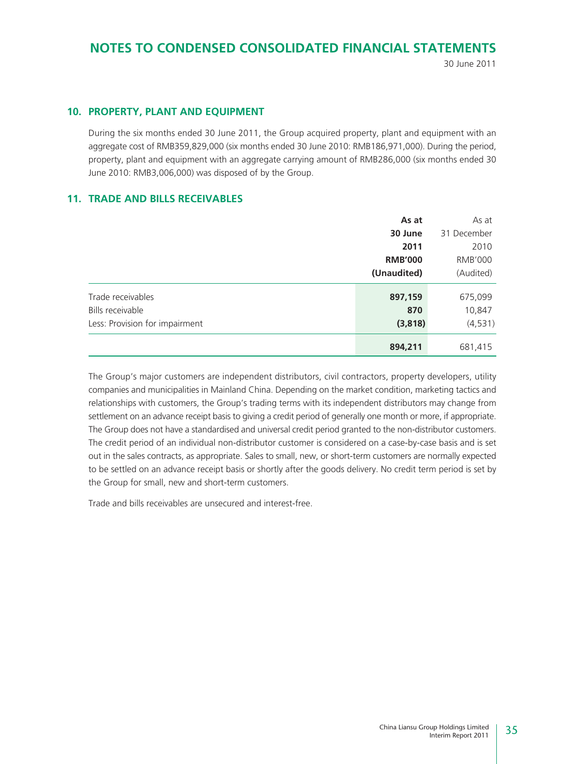30 June 2011

### **10. PROPERTY, PLANT AND EQUIPMENT**

During the six months ended 30 June 2011, the Group acquired property, plant and equipment with an aggregate cost of RMB359,829,000 (six months ended 30 June 2010: RMB186,971,000). During the period, property, plant and equipment with an aggregate carrying amount of RMB286,000 (six months ended 30 June 2010: RMB3,006,000) was disposed of by the Group.

### **11. TRADE AND BILLS RECEIVABLES**

|                                | As at          | As at          |
|--------------------------------|----------------|----------------|
|                                | 30 June        | 31 December    |
|                                | 2011           | 2010           |
|                                | <b>RMB'000</b> | <b>RMB'000</b> |
|                                | (Unaudited)    | (Audited)      |
| Trade receivables              | 897,159        | 675,099        |
| Bills receivable               | 870            | 10,847         |
| Less: Provision for impairment | (3,818)        | (4,531)        |
|                                | 894,211        | 681,415        |

The Group's major customers are independent distributors, civil contractors, property developers, utility companies and municipalities in Mainland China. Depending on the market condition, marketing tactics and relationships with customers, the Group's trading terms with its independent distributors may change from settlement on an advance receipt basis to giving a credit period of generally one month or more, if appropriate. The Group does not have a standardised and universal credit period granted to the non-distributor customers. The credit period of an individual non-distributor customer is considered on a case-by-case basis and is set out in the sales contracts, as appropriate. Sales to small, new, or short-term customers are normally expected to be settled on an advance receipt basis or shortly after the goods delivery. No credit term period is set by the Group for small, new and short-term customers.

Trade and bills receivables are unsecured and interest-free.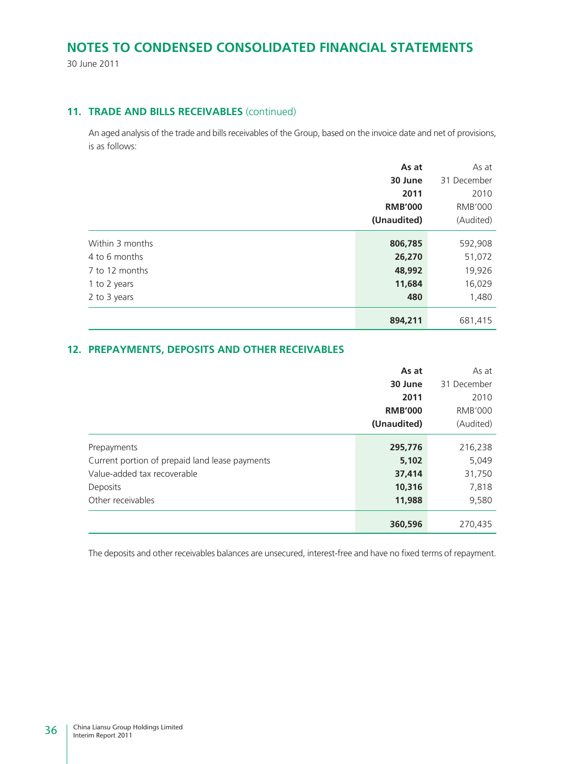30 June 2011

### **11. TRADE AND BILLS RECEIVABLES** (continued)

An aged analysis of the trade and bills receivables of the Group, based on the invoice date and net of provisions, is as follows:

|                 | As at          | As at          |
|-----------------|----------------|----------------|
|                 | 30 June        | 31 December    |
|                 | 2011           | 2010           |
|                 | <b>RMB'000</b> | <b>RMB'000</b> |
|                 | (Unaudited)    | (Audited)      |
| Within 3 months | 806,785        | 592,908        |
| 4 to 6 months   | 26,270         | 51,072         |
| 7 to 12 months  | 48,992         | 19,926         |
| 1 to 2 years    | 11,684         | 16,029         |
| 2 to 3 years    | 480            | 1,480          |
|                 | 894,211        | 681,415        |

### **12. PREPAYMENTS, DEPOSITS AND OTHER RECEIVABLES**

|                                                | As at          | As at          |
|------------------------------------------------|----------------|----------------|
|                                                | 30 June        | 31 December    |
|                                                | 2011           | 2010           |
|                                                | <b>RMB'000</b> | <b>RMB'000</b> |
|                                                | (Unaudited)    | (Audited)      |
| Prepayments                                    | 295,776        | 216,238        |
| Current portion of prepaid land lease payments | 5,102          | 5,049          |
| Value-added tax recoverable                    | 37,414         | 31,750         |
| Deposits                                       | 10,316         | 7,818          |
| Other receivables                              | 11,988         | 9,580          |
|                                                | 360,596        | 270,435        |

The deposits and other receivables balances are unsecured, interest-free and have no fixed terms of repayment.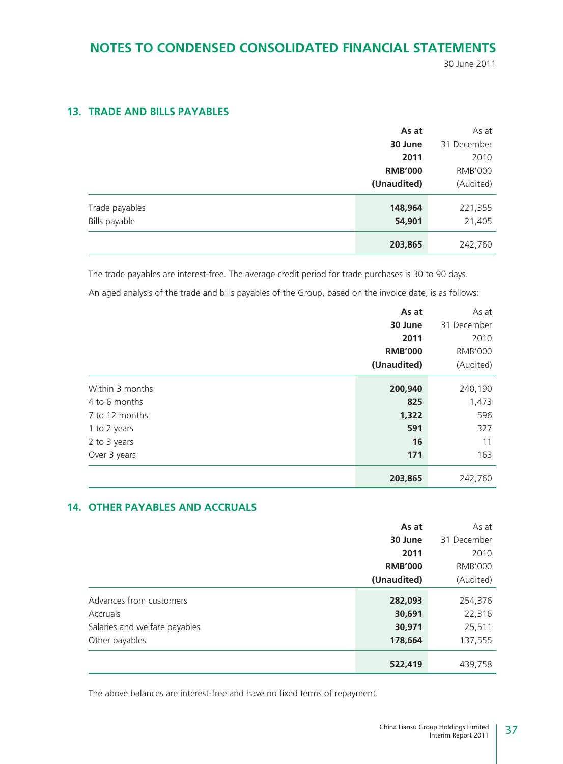30 June 2011

### **13. TRADE AND BILLS PAYABLES**

|                | As at          | As at          |
|----------------|----------------|----------------|
|                | 30 June        | 31 December    |
|                | 2011           | 2010           |
|                | <b>RMB'000</b> | <b>RMB'000</b> |
|                | (Unaudited)    | (Audited)      |
| Trade payables | 148,964        | 221,355        |
| Bills payable  | 54,901         | 21,405         |
|                | 203,865        | 242,760        |

The trade payables are interest-free. The average credit period for trade purchases is 30 to 90 days. An aged analysis of the trade and bills payables of the Group, based on the invoice date, is as follows:

**As at** As at **30 June** 31 December **2011** 2010 **RMB'000** RMB'000 **(Unaudited)** (Audited) Within 3 months **200,940** 240,190 4 to 6 months **825** 1,473 7 to 12 months **1,322** 596 1 to 2 years **591** 327 2 to 3 years **16** 11 Over 3 years **171** 163 **203,865** 242,760

### **14. OTHER PAYABLES AND ACCRUALS**

|                               | As at          | As at          |
|-------------------------------|----------------|----------------|
|                               | 30 June        | 31 December    |
|                               | 2011           | 2010           |
|                               | <b>RMB'000</b> | <b>RMB'000</b> |
|                               | (Unaudited)    | (Audited)      |
|                               |                |                |
| Advances from customers       | 282,093        | 254,376        |
| Accruals                      | 30,691         | 22,316         |
| Salaries and welfare payables | 30,971         | 25,511         |
| Other payables                | 178,664        | 137,555        |
|                               | 522,419        | 439,758        |

The above balances are interest-free and have no fixed terms of repayment.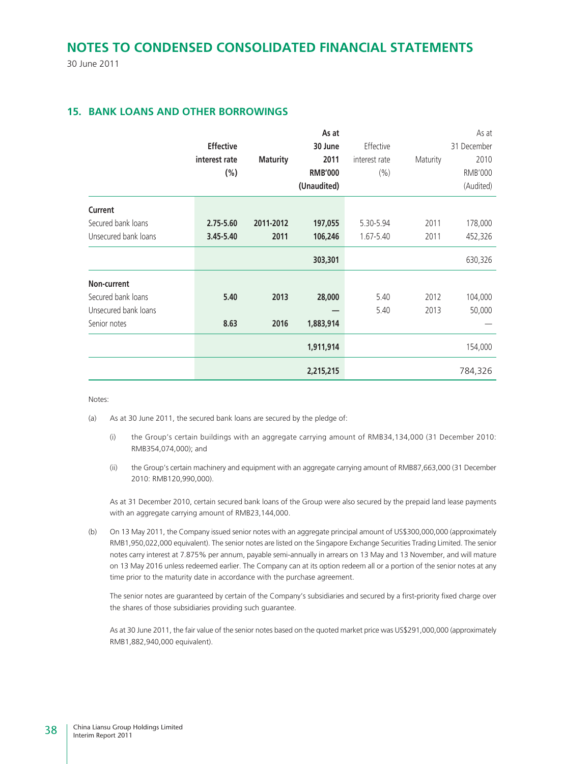30 June 2011

### **15. BANK LOANS AND OTHER BORROWINGS**

|                      |                  |                 | As at          |               |          | As at       |
|----------------------|------------------|-----------------|----------------|---------------|----------|-------------|
|                      | <b>Effective</b> |                 | 30 June        | Effective     |          | 31 December |
|                      | interest rate    | <b>Maturity</b> | 2011           | interest rate | Maturity | 2010        |
|                      | $(\% )$          |                 | <b>RMB'000</b> | (% )          |          | RMB'000     |
|                      |                  |                 | (Unaudited)    |               |          | (Audited)   |
| Current              |                  |                 |                |               |          |             |
| Secured bank loans   | 2.75-5.60        | 2011-2012       | 197,055        | 5.30-5.94     | 2011     | 178,000     |
| Unsecured bank loans | 3.45-5.40        | 2011            | 106,246        | 1.67-5.40     | 2011     | 452,326     |
|                      |                  |                 | 303,301        |               |          | 630,326     |
| Non-current          |                  |                 |                |               |          |             |
| Secured bank loans   | 5.40             | 2013            | 28,000         | 5.40          | 2012     | 104,000     |
| Unsecured bank loans |                  |                 |                | 5.40          | 2013     | 50,000      |
| Senior notes         | 8.63             | 2016            | 1,883,914      |               |          |             |
|                      |                  |                 | 1,911,914      |               |          | 154,000     |
|                      |                  |                 | 2,215,215      |               |          | 784,326     |

Notes:

- (a) As at 30 June 2011, the secured bank loans are secured by the pledge of:
	- (i) the Group's certain buildings with an aggregate carrying amount of RMB34,134,000 (31 December 2010: RMB354,074,000); and
	- (ii) the Group's certain machinery and equipment with an aggregate carrying amount of RMB87,663,000 (31 December 2010: RMB120,990,000).

As at 31 December 2010, certain secured bank loans of the Group were also secured by the prepaid land lease payments with an aggregate carrying amount of RMB23,144,000.

(b) On 13 May 2011, the Company issued senior notes with an aggregate principal amount of US\$300,000,000 (approximately RMB1,950,022,000 equivalent). The senior notes are listed on the Singapore Exchange Securities Trading Limited. The senior notes carry interest at 7.875% per annum, payable semi-annually in arrears on 13 May and 13 November, and will mature on 13 May 2016 unless redeemed earlier. The Company can at its option redeem all or a portion of the senior notes at any time prior to the maturity date in accordance with the purchase agreement.

The senior notes are guaranteed by certain of the Company's subsidiaries and secured by a first-priority fixed charge over the shares of those subsidiaries providing such guarantee.

As at 30 June 2011, the fair value of the senior notes based on the quoted market price was US\$291,000,000 (approximately RMB1,882,940,000 equivalent).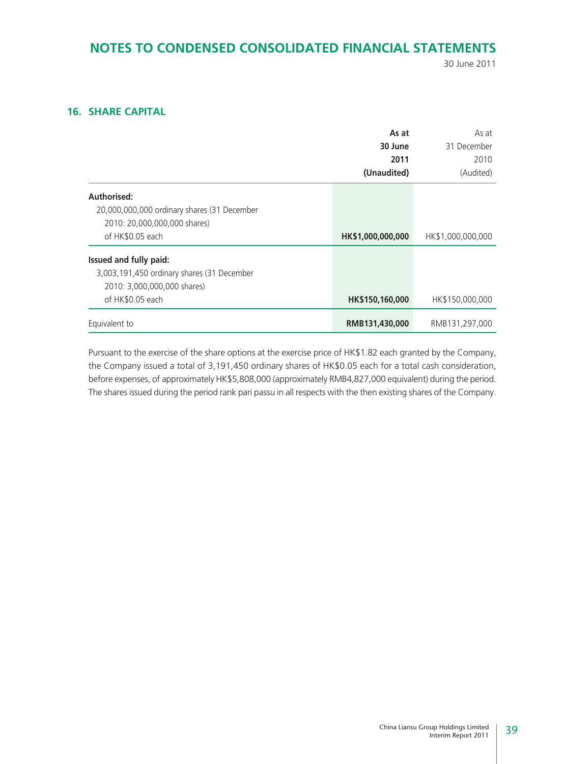30 June 2011

### **16. SHARE CAPITAL**

|                                             | As at             | As at             |
|---------------------------------------------|-------------------|-------------------|
|                                             | 30 June           | 31 December       |
|                                             | 2011              | 2010              |
|                                             | (Unaudited)       | (Audited)         |
| Authorised:                                 |                   |                   |
| 20,000,000,000 ordinary shares (31 December |                   |                   |
| 2010: 20,000,000,000 shares)                |                   |                   |
| of HK\$0.05 each                            | HK\$1,000,000,000 | HK\$1,000,000,000 |
| Issued and fully paid:                      |                   |                   |
| 3,003,191,450 ordinary shares (31 December  |                   |                   |
| 2010: 3,000,000,000 shares)                 |                   |                   |
| of HK\$0.05 each                            | HK\$150,160,000   | HK\$150,000,000   |
| Equivalent to                               | RMB131,430,000    | RMB131,297,000    |

Pursuant to the exercise of the share options at the exercise price of HK\$1.82 each granted by the Company, the Company issued a total of 3,191,450 ordinary shares of HK\$0.05 each for a total cash consideration, before expenses, of approximately HK\$5,808,000 (approximately RMB4,827,000 equivalent) during the period. The shares issued during the period rank pari passu in all respects with the then existing shares of the Company.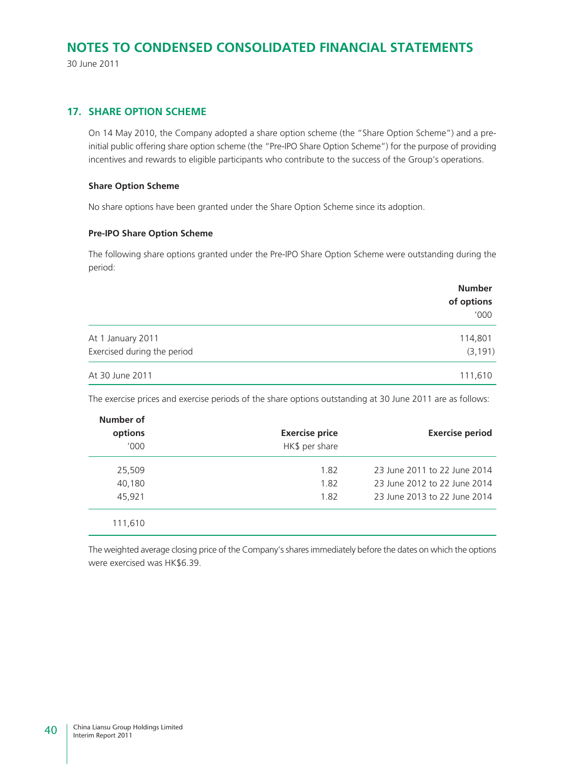30 June 2011

### **17. SHARE OPTION SCHEME**

On 14 May 2010, the Company adopted a share option scheme (the "Share Option Scheme") and a preinitial public offering share option scheme (the "Pre-IPO Share Option Scheme") for the purpose of providing incentives and rewards to eligible participants who contribute to the success of the Group's operations.

#### **Share Option Scheme**

No share options have been granted under the Share Option Scheme since its adoption.

#### **Pre-IPO Share Option Scheme**

The following share options granted under the Pre-IPO Share Option Scheme were outstanding during the period:

|                             | <b>Number</b> |
|-----------------------------|---------------|
|                             | of options    |
|                             | '000          |
| At 1 January 2011           | 114,801       |
| Exercised during the period | (3, 191)      |
| At 30 June 2011             | 111,610       |

The exercise prices and exercise periods of the share options outstanding at 30 June 2011 are as follows:

| <b>Exercise period</b>       | <b>Exercise price</b><br>HK\$ per share | Number of<br>options<br>'000' |
|------------------------------|-----------------------------------------|-------------------------------|
| 23 June 2011 to 22 June 2014 | 1.82                                    | 25,509                        |
| 23 June 2012 to 22 June 2014 | 1.82                                    | 40,180                        |
| 23 June 2013 to 22 June 2014 | 1.82                                    | 45.921                        |
|                              |                                         | 111,610                       |

The weighted average closing price of the Company's shares immediately before the dates on which the options were exercised was HK\$6.39.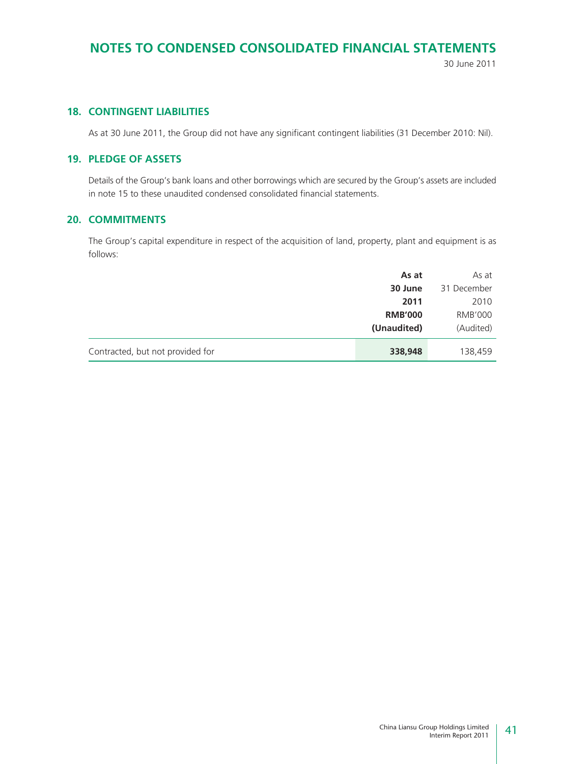30 June 2011

### **18. CONTINGENT LIABILITIES**

As at 30 June 2011, the Group did not have any significant contingent liabilities (31 December 2010: Nil).

### **19. PLEDGE OF ASSETS**

Details of the Group's bank loans and other borrowings which are secured by the Group's assets are included in note 15 to these unaudited condensed consolidated financial statements.

### **20. COMMITMENTS**

The Group's capital expenditure in respect of the acquisition of land, property, plant and equipment is as follows:

|                                  | As at          | As at          |
|----------------------------------|----------------|----------------|
|                                  | 30 June        | 31 December    |
|                                  | 2011           | 2010           |
|                                  | <b>RMB'000</b> | <b>RMB'000</b> |
|                                  | (Unaudited)    | (Audited)      |
| Contracted, but not provided for | 338,948        | 138,459        |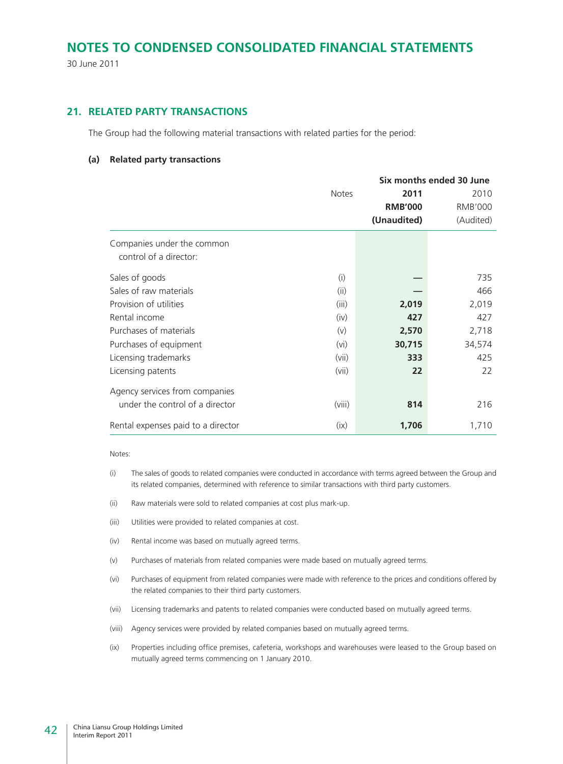30 June 2011

### **21. RELATED PARTY TRANSACTIONS**

The Group had the following material transactions with related parties for the period:

#### **(a) Related party transactions**

|                                    | Six months ended 30 June |                |                |  |
|------------------------------------|--------------------------|----------------|----------------|--|
|                                    | <b>Notes</b>             | 2011           | 2010           |  |
|                                    |                          | <b>RMB'000</b> | <b>RMB'000</b> |  |
|                                    |                          | (Unaudited)    | (Audited)      |  |
| Companies under the common         |                          |                |                |  |
| control of a director:             |                          |                |                |  |
| Sales of goods                     | (i)                      |                | 735            |  |
| Sales of raw materials             | (ii)                     |                | 466            |  |
| Provision of utilities             | (iii)                    | 2,019          | 2,019          |  |
| Rental income                      | (iv)                     | 427            | 427            |  |
| Purchases of materials             | (v)                      | 2,570          | 2,718          |  |
| Purchases of equipment             | (vi)                     | 30,715         | 34,574         |  |
| Licensing trademarks               | (vii)                    | 333            | 425            |  |
| Licensing patents                  | (vii)                    | 22             | 22             |  |
| Agency services from companies     |                          |                |                |  |
| under the control of a director    | (viii)                   | 814            | 216            |  |
| Rental expenses paid to a director | (ix)                     | 1,706          | 1,710          |  |

Notes:

- (i) The sales of goods to related companies were conducted in accordance with terms agreed between the Group and its related companies, determined with reference to similar transactions with third party customers.
- (ii) Raw materials were sold to related companies at cost plus mark-up.
- (iii) Utilities were provided to related companies at cost.
- (iv) Rental income was based on mutually agreed terms.
- (v) Purchases of materials from related companies were made based on mutually agreed terms.
- (vi) Purchases of equipment from related companies were made with reference to the prices and conditions offered by the related companies to their third party customers.
- (vii) Licensing trademarks and patents to related companies were conducted based on mutually agreed terms.
- (viii) Agency services were provided by related companies based on mutually agreed terms.
- (ix) Properties including office premises, cafeteria, workshops and warehouses were leased to the Group based on mutually agreed terms commencing on 1 January 2010.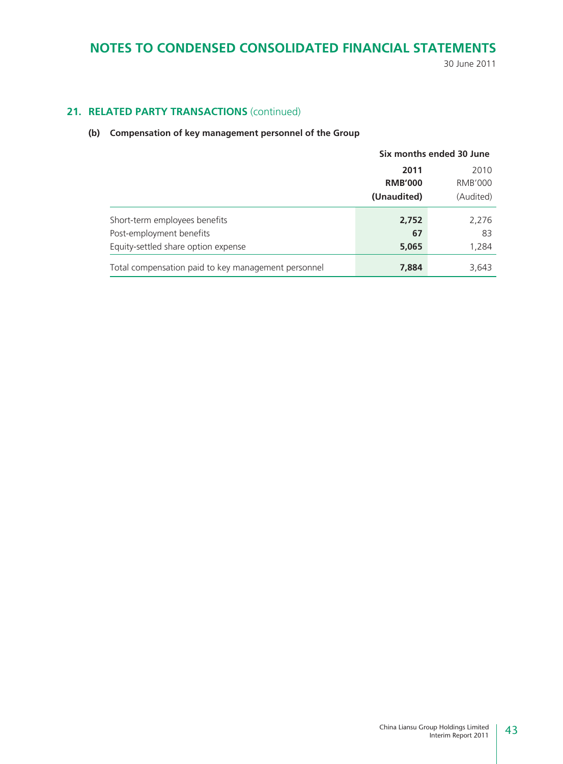30 June 2011

### 21. RELATED PARTY TRANSACTIONS (continued)

### **(b) Compensation of key management personnel of the Group**

|                                                     | Six months ended 30 June |                |  |
|-----------------------------------------------------|--------------------------|----------------|--|
|                                                     | 2011<br>2010             |                |  |
|                                                     | <b>RMB'000</b>           | <b>RMB'000</b> |  |
|                                                     | (Unaudited)              | (Audited)      |  |
| Short-term employees benefits                       | 2,752                    | 2,276          |  |
| Post-employment benefits                            | 67                       | 83             |  |
| Equity-settled share option expense                 | 5,065                    | 1,284          |  |
| Total compensation paid to key management personnel | 7,884                    | 3,643          |  |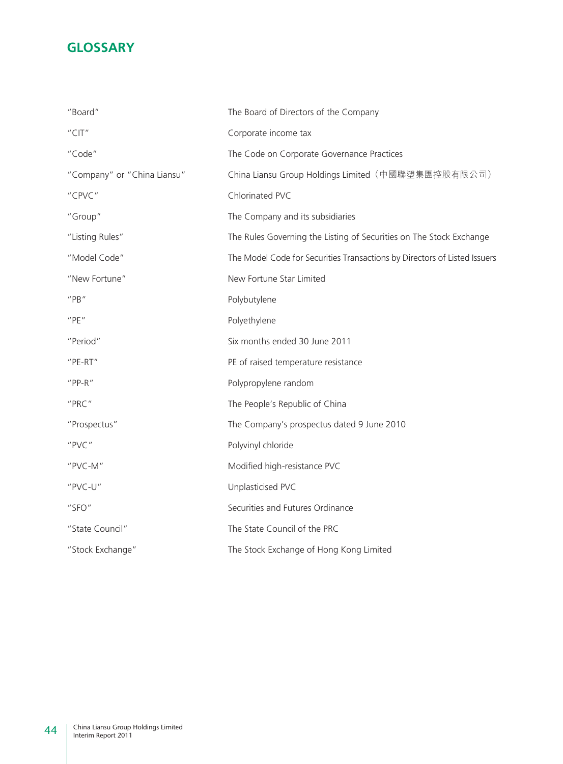### **GLOSSARY**

| "Board"                     | The Board of Directors of the Company                                     |
|-----------------------------|---------------------------------------------------------------------------|
| "CIT"                       | Corporate income tax                                                      |
| "Code"                      | The Code on Corporate Governance Practices                                |
| "Company" or "China Liansu" | China Liansu Group Holdings Limited (中國聯塑集團控股有限公司)                        |
| "CPVC"                      | Chlorinated PVC                                                           |
| "Group"                     | The Company and its subsidiaries                                          |
| "Listing Rules"             | The Rules Governing the Listing of Securities on The Stock Exchange       |
| "Model Code"                | The Model Code for Securities Transactions by Directors of Listed Issuers |
| "New Fortune"               | New Fortune Star Limited                                                  |
| $''$ PB $''$                | Polybutylene                                                              |
| "PE"                        | Polyethylene                                                              |
| "Period"                    | Six months ended 30 June 2011                                             |
| "PE-RT"                     | PE of raised temperature resistance                                       |
| $"PP-R"$                    | Polypropylene random                                                      |
| "PRC"                       | The People's Republic of China                                            |
| "Prospectus"                | The Company's prospectus dated 9 June 2010                                |
| "PVC"                       | Polyvinyl chloride                                                        |
| "PVC-M"                     | Modified high-resistance PVC                                              |
| "PVC-U"                     | Unplasticised PVC                                                         |
| "SFO"                       | Securities and Futures Ordinance                                          |
| "State Council"             | The State Council of the PRC                                              |
| "Stock Exchange"            | The Stock Exchange of Hong Kong Limited                                   |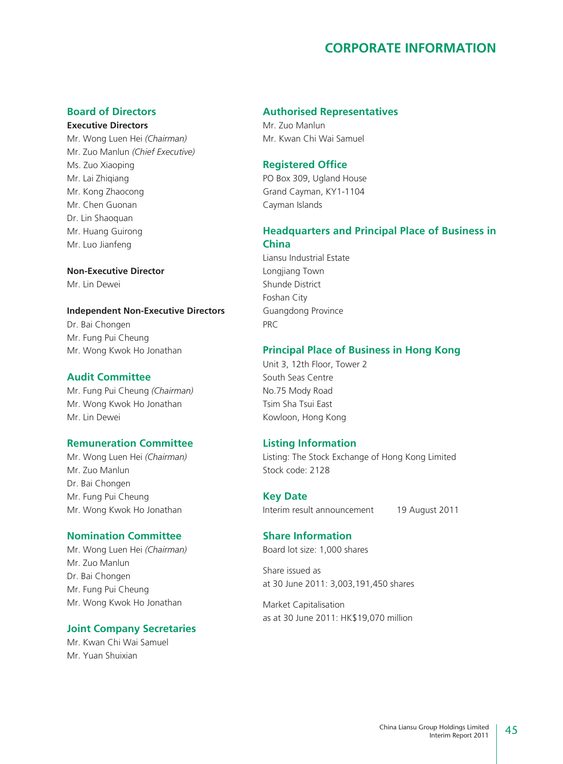### **CORPORATE INFORMATION**

### **Board of Directors**

**Executive Directors** Mr. Wong Luen Hei *(Chairman)* Mr. Zuo Manlun *(Chief Executive)* Ms. Zuo Xiaoping Mr. Lai Zhiqiang Mr. Kong Zhaocong Mr. Chen Guonan Dr. Lin Shaoquan Mr. Huang Guirong Mr. Luo Jianfeng

**Non-Executive Director** Mr. Lin Dewei

### **Independent Non-Executive Directors**

Dr. Bai Chongen Mr. Fung Pui Cheung Mr. Wong Kwok Ho Jonathan

### **Audit Committee**

Mr. Fung Pui Cheung *(Chairman)* Mr. Wong Kwok Ho Jonathan Mr. Lin Dewei

#### **Remuneration Committee**

Mr. Wong Luen Hei *(Chairman)* Mr. Zuo Manlun Dr. Bai Chongen Mr. Fung Pui Cheung Mr. Wong Kwok Ho Jonathan

### **Nomination Committee**

Mr. Wong Luen Hei *(Chairman)* Mr. Zuo Manlun Dr. Bai Chongen Mr. Fung Pui Cheung Mr. Wong Kwok Ho Jonathan

#### **Joint Company Secretaries**

Mr. Kwan Chi Wai Samuel Mr. Yuan Shuixian

### **Authorised Representatives**

Mr. Zuo Manlun Mr. Kwan Chi Wai Samuel

### **Registered Office**

PO Box 309, Ugland House Grand Cayman, KY1-1104 Cayman Islands

### **Headquarters and Principal Place of Business in China**

Liansu Industrial Estate Longjiang Town Shunde District Foshan City Guangdong Province PRC

#### **Principal Place of Business in Hong Kong**

Unit 3, 12th Floor, Tower 2 South Seas Centre No.75 Mody Road Tsim Sha Tsui East Kowloon, Hong Kong

### **Listing Information**

Listing: The Stock Exchange of Hong Kong Limited Stock code: 2128

#### **Key Date**

Interim result announcement 19 August 2011

### **Share Information**

Board lot size: 1,000 shares

Share issued as at 30 June 2011: 3,003,191,450 shares

Market Capitalisation as at 30 June 2011: HK\$19,070 million